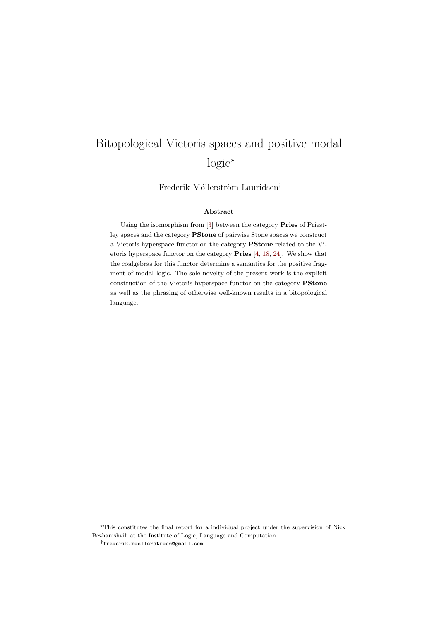# Bitopological Vietoris spaces and positive modal logic<sup>∗</sup>

Frederik Möllerström Lauridsen<sup>†</sup>

#### Abstract

Using the isomorphism from [\[3\]](#page-30-0) between the category Pries of Priestley spaces and the category PStone of pairwise Stone spaces we construct a Vietoris hyperspace functor on the category PStone related to the Vietoris hyperspace functor on the category Pries [\[4,](#page-31-0) [18,](#page-31-1) [24\]](#page-32-0). We show that the coalgebras for this functor determine a semantics for the positive fragment of modal logic. The sole novelty of the present work is the explicit construction of the Vietoris hyperspace functor on the category PStone as well as the phrasing of otherwise well-known results in a bitopological language.

<sup>∗</sup>This constitutes the final report for a individual project under the supervision of Nick Bezhanishvili at the Institute of Logic, Language and Computation.

<sup>†</sup>frederik.moellerstroem@gmail.com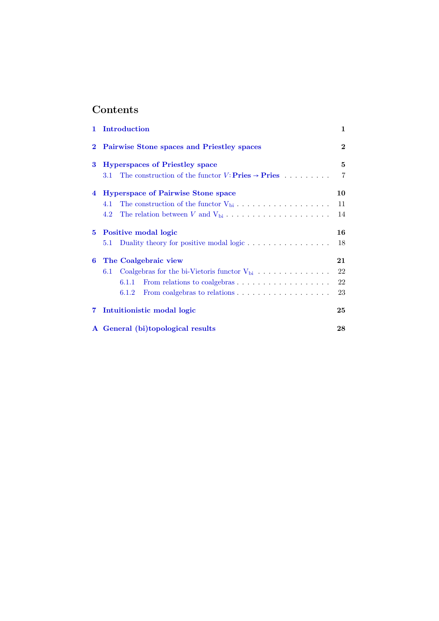# Contents

| 1                       | Introduction                                                                                      | $\mathbf{1}$ |
|-------------------------|---------------------------------------------------------------------------------------------------|--------------|
| $\bf{2}$                | Pairwise Stone spaces and Priestley spaces                                                        | $\mathbf 2$  |
| 3                       | <b>Hyperspaces of Priestley space</b>                                                             | 5            |
|                         | The construction of the functor $V: \textbf{Pries} \rightarrow \textbf{Pries} \dots \dots$<br>3.1 | 7            |
| $\overline{\mathbf{4}}$ | <b>Hyperspace of Pairwise Stone space</b>                                                         | 10           |
|                         | 4.1                                                                                               | 11           |
|                         | 4.2                                                                                               | 14           |
| 5.                      | Positive modal logic                                                                              | 16           |
|                         | Duality theory for positive modal logic $\dots \dots \dots \dots \dots$<br>5.1                    | 18           |
| 6                       | The Coalgebraic view                                                                              | 21           |
|                         | Coalgebras for the bi-Vietoris functor $V_{bi} \ldots \ldots \ldots \ldots$<br>6.1                | 22           |
|                         | From relations to coalgebras $\dots \dots \dots \dots \dots \dots$<br>6.1.1                       | 22           |
|                         | 6.1.2                                                                                             | 23           |
| $\overline{7}$          | Intuition is the modal logic                                                                      | 25           |
|                         | A General (bi)topological results                                                                 | 28           |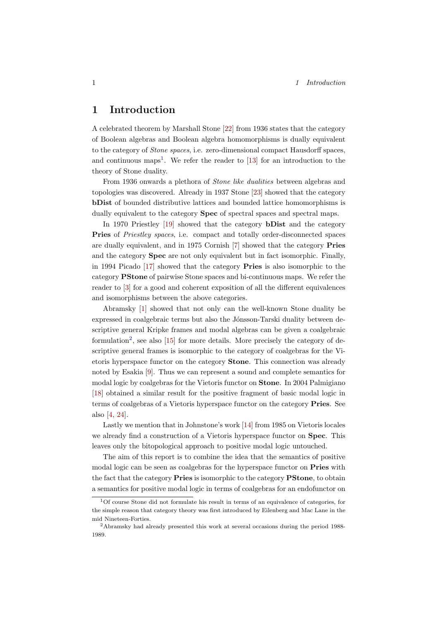# <span id="page-2-0"></span>1 Introduction

A celebrated theorem by Marshall Stone [\[22\]](#page-32-1) from 1936 states that the category of Boolean algebras and Boolean algebra homomorphisms is dually equivalent to the category of Stone spaces, i.e. zero-dimensional compact Hausdorff spaces, and continuous maps<sup>[1](#page-2-1)</sup>. We refer the reader to  $[13]$  for an introduction to the theory of Stone duality.

From 1936 onwards a plethora of Stone like dualities between algebras and topologies was discovered. Already in 1937 Stone [\[23\]](#page-32-2) showed that the category bDist of bounded distributive lattices and bounded lattice homomorphisms is dually equivalent to the category **Spec** of spectral spaces and spectral maps.

In 1970 Priestley [\[19\]](#page-31-3) showed that the category bDist and the category Pries of Priestley spaces, i.e. compact and totally order-disconnected spaces are dually equivalent, and in 1975 Cornish [\[7\]](#page-31-4) showed that the category Pries and the category Spec are not only equivalent but in fact isomorphic. Finally, in 1994 Picado [\[17\]](#page-31-5) showed that the category Pries is also isomorphic to the category PStone of pairwise Stone spaces and bi-continuous maps. We refer the reader to [\[3\]](#page-30-0) for a good and coherent exposition of all the different equivalences and isomorphisms between the above categories.

Abramsky [\[1\]](#page-30-1) showed that not only can the well-known Stone duality be expressed in coalgebraic terms but also the Jónsson-Tarski duality between descriptive general Kripke frames and modal algebras can be given a coalgebraic formulation<sup>[2](#page-2-2)</sup>, see also [\[15\]](#page-31-6) for more details. More precisely the category of descriptive general frames is isomorphic to the category of coalgebras for the Vietoris hyperspace functor on the category Stone. This connection was already noted by Esakia [\[9\]](#page-31-7). Thus we can represent a sound and complete semantics for modal logic by coalgebras for the Vietoris functor on Stone. In 2004 Palmigiano [\[18\]](#page-31-1) obtained a similar result for the positive fragment of basic modal logic in terms of coalgebras of a Vietoris hyperspace functor on the category **Pries**. See also [\[4,](#page-31-0) [24\]](#page-32-0).

Lastly we mention that in Johnstone's work [\[14\]](#page-31-8) from 1985 on Vietoris locales we already find a construction of a Vietoris hyperspace functor on **Spec**. This leaves only the bitopological approach to positive modal logic untouched.

The aim of this report is to combine the idea that the semantics of positive modal logic can be seen as coalgebras for the hyperspace functor on **Pries** with the fact that the category **Pries** is isomorphic to the category **PStone**, to obtain a semantics for positive modal logic in terms of coalgebras for an endofunctor on

<span id="page-2-1"></span><sup>1</sup>Of course Stone did not formulate his result in terms of an equivalence of categories, for the simple reason that category theory was first introduced by Eilenberg and Mac Lane in the mid Nineteen-Forties.

<span id="page-2-2"></span><sup>2</sup>Abramsky had already presented this work at several occasions during the period 1988- 1989.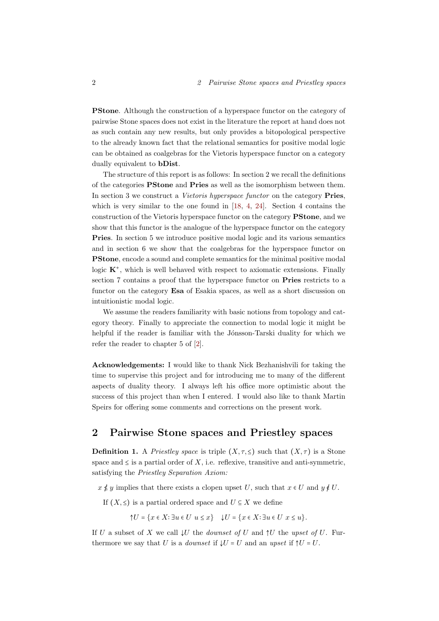PStone. Although the construction of a hyperspace functor on the category of pairwise Stone spaces does not exist in the literature the report at hand does not as such contain any new results, but only provides a bitopological perspective to the already known fact that the relational semantics for positive modal logic can be obtained as coalgebras for the Vietoris hyperspace functor on a category dually equivalent to bDist.

The structure of this report is as follows: In section 2 we recall the definitions of the categories PStone and Pries as well as the isomorphism between them. In section 3 we construct a *Vietoris hyperspace functor* on the category **Pries**, which is very similar to the one found in [\[18,](#page-31-1) [4,](#page-31-0) [24\]](#page-32-0). Section 4 contains the construction of the Vietoris hyperspace functor on the category PStone, and we show that this functor is the analogue of the hyperspace functor on the category Pries. In section 5 we introduce positive modal logic and its various semantics and in section 6 we show that the coalgebras for the hyperspace functor on PStone, encode a sound and complete semantics for the minimal positive modal logic  $K^+$ , which is well behaved with respect to axiomatic extensions. Finally section 7 contains a proof that the hyperspace functor on Pries restricts to a functor on the category Esa of Esakia spaces, as well as a short discussion on intuitionistic modal logic.

We assume the readers familiarity with basic notions from topology and category theory. Finally to appreciate the connection to modal logic it might be helpful if the reader is familiar with the Jónsson-Tarski duality for which we refer the reader to chapter 5 of [\[2\]](#page-30-2).

Acknowledgements: I would like to thank Nick Bezhanishvili for taking the time to supervise this project and for introducing me to many of the different aspects of duality theory. I always left his office more optimistic about the success of this project than when I entered. I would also like to thank Martin Speirs for offering some comments and corrections on the present work.

## <span id="page-3-0"></span>2 Pairwise Stone spaces and Priestley spaces

**Definition 1.** A Priestley space is triple  $(X, \tau, \leq)$  such that  $(X, \tau)$  is a Stone space and  $\leq$  is a partial order of  $X$ , i.e. reflexive, transitive and anti-symmetric, satisfying the Priestley Separation Axiom:

 $x \nleq y$  implies that there exists a clopen upset U, such that  $x \in U$  and  $y \notin U$ .

If  $(X, \leq)$  is a partial ordered space and  $U \subseteq X$  we define

 $\uparrow U = \{x \in X : \exists u \in U \mid u \leq x\}$   $\downarrow U = \{x \in X : \exists u \in U \mid x \leq u\}.$ 

If U a subset of X we call  $\downarrow U$  the *downset of* U and  $\uparrow U$  the upset of U. Furthermore we say that U is a *downset* if  $\downarrow U = U$  and an upset if  $\uparrow U = U$ .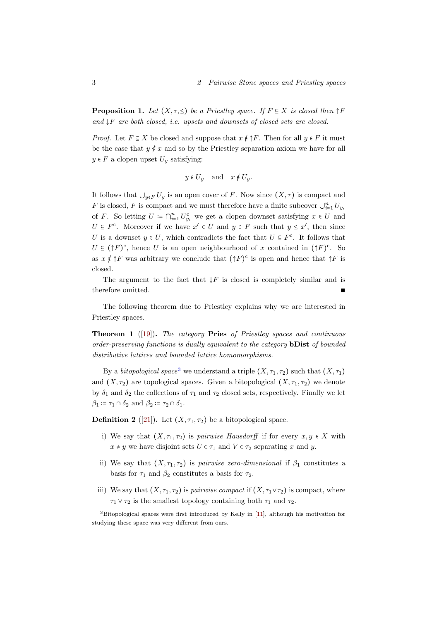<span id="page-4-1"></span>**Proposition 1.** Let  $(X, \tau, \leq)$  be a Priestley space. If  $F \subseteq X$  is closed then  $\uparrow F$ and  $\downarrow$ F are both closed, i.e. upsets and downsets of closed sets are closed.

*Proof.* Let  $F \subseteq X$  be closed and suppose that  $x \notin \uparrow F$ . Then for all  $y \in F$  it must be the case that  $y \notin x$  and so by the Priestley separation axiom we have for all  $y \in F$  a clopen upset  $U_y$  satisfying:

$$
y \in U_y \quad \text{and} \quad x \notin U_y.
$$

It follows that  $\bigcup_{y\in F} U_y$  is an open cover of F. Now since  $(X,\tau)$  is compact and F is closed, F is compact and we must therefore have a finite subcover  $\bigcup_{i=1}^n U_{y_i}$ of F. So letting  $U \coloneqq \bigcap_{i=1}^n U_{y_i}^c$  we get a clopen downset satisfying  $x \in U$  and  $U \subseteq F^c$ . Moreover if we have  $x' \in U$  and  $y \in F$  such that  $y \leq x'$ , then since U is a downset  $y \in U$ , which contradicts the fact that  $U \subseteq F^c$ . It follows that  $U \subseteq (\uparrow F)^c$ , hence U is an open neighbourhood of x contained in  $(\uparrow F)^c$ . So as  $x \notin \uparrow F$  was arbitrary we conclude that  $(\uparrow F)^c$  is open and hence that  $\uparrow F$  is closed.

The argument to the fact that  $\downarrow$ F is closed is completely similar and is therefore omitted.

The following theorem due to Priestley explains why we are interested in Priestley spaces.

**Theorem 1** ([\[19\]](#page-31-3)). The category **Pries** of Priestley spaces and continuous order-preserving functions is dually equivalent to the category **bDist** of bounded distributive lattices and bounded lattice homomorphisms.

By a bitopological space<sup>[3](#page-4-0)</sup> we understand a triple  $(X, \tau_1, \tau_2)$  such that  $(X, \tau_1)$ and  $(X, \tau_2)$  are topological spaces. Given a bitopological  $(X, \tau_1, \tau_2)$  we denote by  $\delta_1$  and  $\delta_2$  the collections of  $\tau_1$  and  $\tau_2$  closed sets, respectively. Finally we let  $\beta_1 \coloneqq \tau_1 \cap \delta_2$  and  $\beta_2 \coloneqq \tau_2 \cap \delta_1$ .

**Definition 2** ([\[21\]](#page-32-3)). Let  $(X, \tau_1, \tau_2)$  be a bitopological space.

- i) We say that  $(X, \tau_1, \tau_2)$  is *pairwise Hausdorff* if for every  $x, y \in X$  with  $x \neq y$  we have disjoint sets  $U \in \tau_1$  and  $V \in \tau_2$  separating x and y.
- ii) We say that  $(X, \tau_1, \tau_2)$  is pairwise zero-dimensional if  $\beta_1$  constitutes a basis for  $\tau_1$  and  $\beta_2$  constitutes a basis for  $\tau_2$ .
- iii) We say that  $(X, \tau_1, \tau_2)$  is pairwise compact if  $(X, \tau_1 \vee \tau_2)$  is compact, where  $\tau_1 \vee \tau_2$  is the smallest topology containing both  $\tau_1$  and  $\tau_2$ .

<span id="page-4-0"></span><sup>3</sup>Bitopological spaces were first introduced by Kelly in [\[11\]](#page-31-9), although his motivation for studying these space was very different from ours.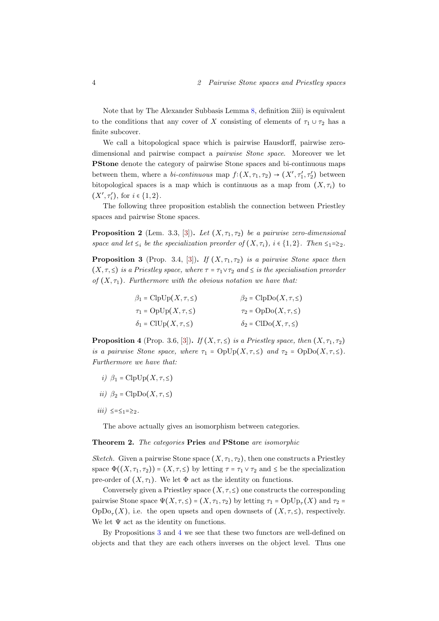Note that by The Alexander Subbasis Lemma [8,](#page-30-3) definition 2iii) is equivalent to the conditions that any cover of X consisting of elements of  $\tau_1 \cup \tau_2$  has a finite subcover.

We call a bitopological space which is pairwise Hausdorff, pairwise zerodimensional and pairwise compact a pairwise Stone space. Moreover we let PStone denote the category of pairwise Stone spaces and bi-continuous maps between them, where a *bi-continuous* map  $f: (X, \tau_1, \tau_2) \to (X', \tau'_1, \tau'_2)$  between bitopological spaces is a map which is continuous as a map from  $(X, \tau_i)$  to  $(X', \tau'_i)$ , for  $i \in \{1, 2\}$ .

The following three proposition establish the connection between Priestley spaces and pairwise Stone spaces.

<span id="page-5-2"></span>**Proposition 2** (Lem. 3.3, [\[3\]](#page-30-0)). Let  $(X, \tau_1, \tau_2)$  be a pairwise zero-dimensional space and let  $\leq_i$  be the specialization preorder of  $(X, \tau_i)$ ,  $i \in \{1, 2\}$ . Then  $\leq_1 = \geq_2$ .

<span id="page-5-0"></span>**Proposition 3** (Prop. 3.4, [\[3\]](#page-30-0)). If  $(X, \tau_1, \tau_2)$  is a pairwise Stone space then  $(X, \tau, \leq)$  is a Priestley space, where  $\tau = \tau_1 \vee \tau_2$  and  $\leq$  is the specialisation preorder of  $(X, \tau_1)$ . Furthermore with the obvious notation we have that:

| $\beta_1 = \text{ClpUp}(X, \tau, \leq)$ | $\beta_2 = \text{ClpDo}(X, \tau, \leq)$ |
|-----------------------------------------|-----------------------------------------|
| $\tau_1 = \text{OpUp}(X, \tau, \leq)$   | $\tau_2 = \text{OpDo}(X, \tau, \leq)$   |
| $\delta_1 = \text{ClUp}(X, \tau, \leq)$ | $\delta_2 = \text{CIDo}(X, \tau, \leq)$ |

<span id="page-5-1"></span>**Proposition 4** (Prop. 3.6, [\[3\]](#page-30-0)). If  $(X, \tau, \leq)$  is a Priestley space, then  $(X, \tau_1, \tau_2)$ is a pairwise Stone space, where  $\tau_1 = \text{OpUp}(X, \tau, \leq)$  and  $\tau_2 = \text{OpDo}(X, \tau, \leq)$ . Furthermore we have that:

- i)  $\beta_1 = \text{ClpUp}(X, \tau, \leq)$
- ii)  $\beta_2 = \text{ClpDo}(X, \tau, \leq)$
- *iii*) ≤= $≤_1$ =≥<sub>2</sub>.

The above actually gives an isomorphism between categories.

#### <span id="page-5-3"></span>Theorem 2. The categories Pries and PStone are isomorphic

Sketch. Given a pairwise Stone space  $(X, \tau_1, \tau_2)$ , then one constructs a Priestley space  $\Phi((X, \tau_1, \tau_2)) = (X, \tau, \leq)$  by letting  $\tau = \tau_1 \vee \tau_2$  and  $\leq$  be the specialization pre-order of  $(X, \tau_1)$ . We let  $\Phi$  act as the identity on functions.

Conversely given a Priestley space  $(X, \tau, \leq)$  one constructs the corresponding pairwise Stone space  $\Psi(X, \tau, \leq) = (X, \tau_1, \tau_2)$  by letting  $\tau_1 = \text{OpUp}_{\tau}(X)$  and  $\tau_2 =$  $OpDo_{\tau}(X)$ , i.e. the open upsets and open downsets of  $(X, \tau, \leq)$ , respectively. We let  $\Psi$  act as the identity on functions.

By Propositions [3](#page-5-0) and [4](#page-5-1) we see that these two functors are well-defined on objects and that they are each others inverses on the object level. Thus one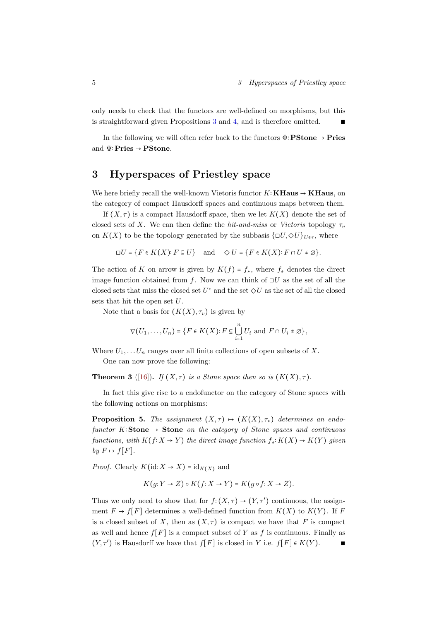only needs to check that the functors are well-defined on morphisms, but this is straightforward given Propositions [3](#page-5-0) and [4,](#page-5-1) and is therefore omitted. ∎

In the following we will often refer back to the functors  $\Phi$ : **PStone**  $\rightarrow$  **Pries** and Ψ∶Pries → PStone.

# <span id="page-6-0"></span>3 Hyperspaces of Priestley space

We here briefly recall the well-known Vietoris functor  $K:$  **KHaus**  $\rightarrow$  **KHaus**, on the category of compact Hausdorff spaces and continuous maps between them.

If  $(X, \tau)$  is a compact Hausdorff space, then we let  $K(X)$  denote the set of closed sets of X. We can then define the hit-and-miss or Vietoris topology  $\tau_v$ on  $K(X)$  to be the topology generated by the subbasis  $\{\Box U, \Diamond U\}_{U \in \tau}$ , where

$$
\Box U = \{ F \in K(X) : F \subseteq U \} \quad \text{and} \quad \Diamond U = \{ F \in K(X) : F \cap U \neq \varnothing \}.
$$

The action of K on arrow is given by  $K(f) = f_*$ , where  $f_*$  denotes the direct image function obtained from f. Now we can think of  $\Box U$  as the set of all the closed sets that miss the closed set  $U^{\text{c}}$  and the set  $\diamond U$  as the set of all the closed sets that hit the open set U.

Note that a basis for  $(K(X), \tau_v)$  is given by

$$
\nabla(U_1,\ldots,U_n)=\{F\in K(X): F\subseteq \bigcup_{i=1}^n U_i \text{ and } F\cap U_i\neq \emptyset\},\
$$

Where  $U_1, \ldots, U_n$  ranges over all finite collections of open subsets of X.

One can now prove the following:

**Theorem 3** ([\[16\]](#page-31-10)). If  $(X, \tau)$  is a Stone space then so is  $(K(X), \tau)$ .

In fact this give rise to a endofunctor on the category of Stone spaces with the following actions on morphisms:

**Proposition 5.** The assignment  $(X, \tau) \rightarrow (K(X), \tau)$  determines an endofunctor K∶Stone  $\rightarrow$  Stone on the category of Stone spaces and continuous functions, with  $K(f: X \to Y)$  the direct image function  $f_*: K(X) \to K(Y)$  given by  $F \mapsto f[F]$ .

*Proof.* Clearly  $K(\text{id}: X \to X) = \text{id}_{K(X)}$  and

$$
K(g:Y \to Z) \circ K(f: X \to Y) = K(g \circ f: X \to Z).
$$

Thus we only need to show that for  $f: (X, \tau) \to (Y, \tau')$  continuous, the assignment  $F \mapsto f[F]$  determines a well-defined function from  $K(X)$  to  $K(Y)$ . If F is a closed subset of X, then as  $(X, \tau)$  is compact we have that F is compact as well and hence  $f[F]$  is a compact subset of Y as f is continuous. Finally as  $(Y, \tau')$  is Hausdorff we have that  $f[F]$  is closed in Y i.e.  $f[F] \in K(Y)$ .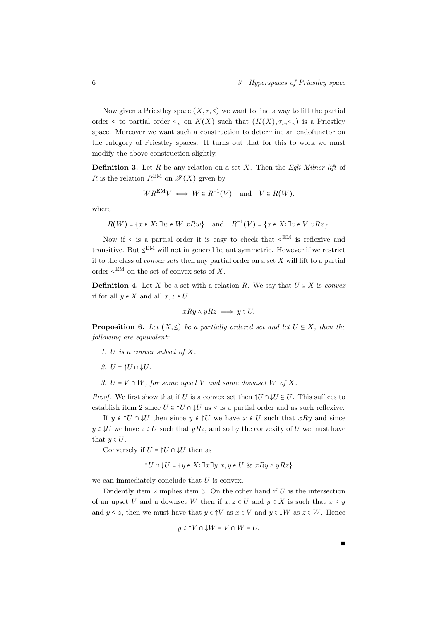Now given a Priestley space  $(X, \tau, \leq)$  we want to find a way to lift the partial order  $\leq$  to partial order  $\leq_v$  on  $K(X)$  such that  $(K(X), \tau_v, \leq_v)$  is a Priestley space. Moreover we want such a construction to determine an endofunctor on the category of Priestley spaces. It turns out that for this to work we must modify the above construction slightly.

**Definition 3.** Let R be any relation on a set X. Then the Egli-Milner lift of R is the relation  $R^{EM}$  on  $\mathscr{P}(X)$  given by

$$
WR^{EM}V \iff W \subseteq R^{-1}(V)
$$
 and  $V \subseteq R(W)$ ,

where

$$
R(W) = \{x \in X : \exists w \in W \ x R w\} \quad \text{and} \quad R^{-1}(V) = \{x \in X : \exists v \in V \ v R x\}.
$$

Now if  $\leq$  is a partial order it is easy to check that  $\leq^{EM}$  is reflexive and transitive. But  $\leq^{EM}$  will not in general be antisymmetric. However if we restrict it to the class of *convex sets* then any partial order on a set  $X$  will lift to a partial order  $\leq^{EM}$  on the set of convex sets of X.

**Definition 4.** Let X be a set with a relation R. We say that  $U \subseteq X$  is convex if for all  $y \in X$  and all  $x, z \in U$ 

$$
xRy \land yRz \implies y \in U.
$$

<span id="page-7-0"></span>**Proposition 6.** Let  $(X, \leq)$  be a partially ordered set and let  $U \subseteq X$ , then the following are equivalent:

- 1. U is a convex subset of X.
- 2.  $U = \uparrow U \cap \downarrow U$ .
- 3.  $U = V \cap W$ , for some upset V and some downset W of X.

*Proof.* We first show that if U is a convex set then  $\uparrow U \cap \downarrow U \subseteq U$ . This suffices to establish item 2 since  $U \subseteq \Uparrow U \cap \downarrow U$  as  $\leq$  is a partial order and as such reflexive.

If  $y \in \Upsilon \cap \Upsilon$  then since  $y \in \Upsilon$  we have  $x \in U$  such that  $xRy$  and since  $y \in \mathcal{V}$  we have  $z \in U$  such that  $yRz$ , and so by the convexity of U we must have that  $y \in U$ .

Conversely if  $U = \uparrow U \cap \downarrow U$  then as

$$
\uparrow U \cap \downarrow U = \{ y \in X : \exists x \exists y \ x, y \in U \& xRy \land yRz \}
$$

we can immediately conclude that  $U$  is convex.

Evidently item 2 implies item 3. On the other hand if  $U$  is the intersection of an upset V and a downset W then if  $x, z \in U$  and  $y \in X$  is such that  $x \leq y$ and  $y \leq z$ , then we must have that  $y \in \uparrow V$  as  $x \in V$  and  $y \in \downarrow W$  as  $z \in W$ . Hence

$$
y \in \uparrow V \cap \downarrow W = V \cap W = U.
$$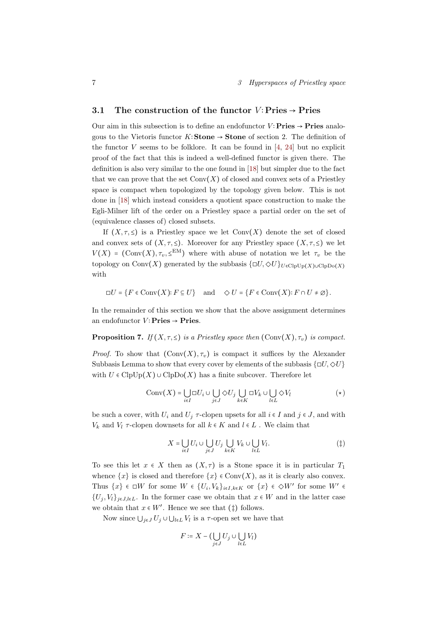## <span id="page-8-0"></span>3.1 The construction of the functor  $V: \text{Pries} \rightarrow \text{Pries}$

Our aim in this subsection is to define an endofunctor  $V:$  **Pries**  $\rightarrow$  **Pries** analogous to the Vietoris functor  $K$ : Stone → Stone of section 2. The definition of the functor V seems to be folklore. It can be found in  $[4, 24]$  $[4, 24]$  $[4, 24]$  but no explicit proof of the fact that this is indeed a well-defined functor is given there. The definition is also very similar to the one found in [\[18\]](#page-31-1) but simpler due to the fact that we can prove that the set  $Conv(X)$  of closed and convex sets of a Priestley space is compact when topologized by the topology given below. This is not done in [\[18\]](#page-31-1) which instead considers a quotient space construction to make the Egli-Milner lift of the order on a Priestley space a partial order on the set of (equivalence classes of) closed subsets.

If  $(X, \tau, \leq)$  is a Priestley space we let  $Conv(X)$  denote the set of closed and convex sets of  $(X, \tau, \leq)$ . Moreover for any Priestley space  $(X, \tau, \leq)$  we let  $V(X) = (\text{Conv}(X), \tau_v, \leq^{\text{EM}})$  where with abuse of notation we let  $\tau_v$  be the topology on Conv(X) generated by the subbasis  $\{\Box U, \Diamond U\}_{U \in \text{ClpUp}(X) \cup \text{ClpDo}(X)}$ with

$$
\Box U = \{ F \in Conv(X) : F \subseteq U \} \quad \text{and} \quad \Diamond U = \{ F \in Conv(X) : F \cap U \neq \emptyset \}.
$$

In the remainder of this section we show that the above assignment determines an endofunctor  $V: \textbf{Pries} \rightarrow \textbf{Pries}$ .

<span id="page-8-1"></span>**Proposition 7.** If  $(X, \tau, \leq)$  is a Priestley space then  $(\text{Conv}(X), \tau_v)$  is compact.

*Proof.* To show that  $(\text{Conv}(X), \tau_v)$  is compact it suffices by the Alexander Subbasis Lemma to show that every cover by elements of the subbasis  $\{\Box U, \Diamond U\}$ with  $U \in \text{ClpUp}(X) \cup \text{ClpDo}(X)$  has a finite subcover. Therefore let

$$
\mathrm{Conv}(X) = \bigcup_{i \in I} \Box U_i \cup \bigcup_{j \in J} \Diamond U_j \bigcup_{k \in K} \Box V_k \cup \bigcup_{l \in L} \Diamond V_l \tag{$\star$}
$$

be such a cover, with  $U_i$  and  $U_j$   $\tau$ -clopen upsets for all  $i \in I$  and  $j \in J$ , and with  $V_k$  and  $V_l$   $\tau$ -clopen downsets for all  $k \in K$  and  $l \in L$ . We claim that

$$
X = \bigcup_{i \in I} U_i \cup \bigcup_{j \in J} U_j \bigcup_{k \in K} V_k \cup \bigcup_{l \in L} V_l. \tag{\ddagger}
$$

To see this let  $x \in X$  then as  $(X, \tau)$  is a Stone space it is in particular  $T_1$ whence  $\{x\}$  is closed and therefore  $\{x\} \in \text{Conv}(X)$ , as it is clearly also convex. Thus  $\{x\} \in \Box W$  for some  $W \in \{U_i, V_k\}_{i \in I, k \in K}$  or  $\{x\} \in \Diamond W'$  for some  $W' \in$  ${U_i, V_i}_{i \in J, l \in L}$ . In the former case we obtain that  $x \in W$  and in the latter case we obtain that  $x \in W'$ . Hence we see that  $(\ddagger)$  follows.

Now since  $\bigcup_{j\in J} U_j \cup \bigcup_{l\in L} V_l$  is a  $\tau$ -open set we have that

$$
F \coloneqq X - \bigl(\bigcup_{j \in J} U_j \cup \bigcup_{l \in L} V_l\bigr)
$$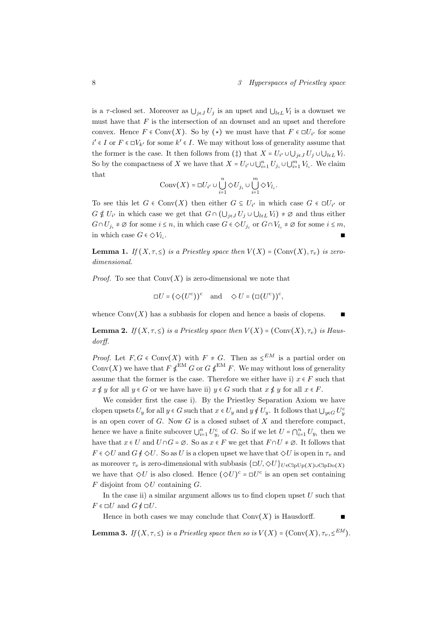#### 8 3 Hyperspaces of Priestley space

is a  $\tau$ -closed set. Moreover as  $\bigcup_{j\in J}U_j$  is an upset and  $\bigcup_{l\in L}V_l$  is a downset we must have that  $F$  is the intersection of an downset and an upset and therefore convex. Hence  $F \in Conv(X)$ . So by  $(\star)$  we must have that  $F \in \Box U_{i'}$  for some  $i' \in I$  or  $F \in \Box V_{k'}$  for some  $k' \in I$ . We may without loss of generality assume that the former is the case. It then follows from (‡) that  $X = U_{i'} \cup \bigcup_{j \in J} U_j \cup \bigcup_{l \in L} V_l$ . So by the compactness of X we have that  $X = U_{i'} \cup \bigcup_{i=1}^n U_{j_i} \cup \bigcup_{i=1}^m V_{l_i}$ . We claim that

$$
\mathrm{Conv}(X)=\Box U_{i'}\cup\bigcup_{i=1}^n \Diamond U_{j_i}\cup\bigcup_{i=1}^m \Diamond V_{l_i}.
$$

To see this let  $G \in Conv(X)$  then either  $G \subseteq U_{i'}$  in which case  $G \in \Box U_{i'}$  or  $G \notin U_{i'}$  in which case we get that  $G \cap (\bigcup_{j \in J} U_j \cup \bigcup_{l \in L} V_l) \neq \emptyset$  and thus either  $G \cap U_{j_i} \neq \emptyset$  for some  $i \leq n$ , in which case  $G \in \Diamond U_{j_i}$  or  $G \cap V_{l_i} \neq \emptyset$  for some  $i \leq m$ , in which case  $G \in \Diamond V_{l_i}$ . . ∎

<span id="page-9-0"></span>**Lemma 1.** If  $(X, \tau, \leq)$  is a Priestley space then  $V(X) = (\text{Conv}(X), \tau_v)$  is zerodimensional.

*Proof.* To see that  $Conv(X)$  is zero-dimensional we note that

$$
\Box U = (\Diamond (U^c))^c
$$
 and  $\Diamond U = (\Box (U^c))^c$ ,

whence  $Conv(X)$  has a subbasis for clopen and hence a basis of clopens.

<span id="page-9-1"></span>**Lemma 2.** If  $(X, \tau, \leq)$  is a Priestley space then  $V(X) = (\text{Conv}(X), \tau_n)$  is Hausdorff.

*Proof.* Let  $F, G \in Conv(X)$  with  $F \neq G$ . Then as  $\leq^{EM}$  is a partial order on Conv $(X)$  we have that  $F \notin^{\text{EM}} G$  or  $G \notin^{\text{EM}} F$ . We may without loss of generality assume that the former is the case. Therefore we either have i)  $x \in F$  such that  $x \nleq y$  for all  $y \in G$  or we have have ii)  $y \in G$  such that  $x \nleq y$  for all  $x \in F$ .

We consider first the case i). By the Priestley Separation Axiom we have clopen upsets  $U_y$  for all  $y \in G$  such that  $x \in U_y$  and  $y \notin U_y$ . It follows that  $\bigcup_{y \in G} U_y^c$ is an open cover of  $G$ . Now  $G$  is a closed subset of  $X$  and therefore compact, hence we have a finite subcover  $\bigcup_{i=1}^{n} U_{y_i}^c$  of G. So if we let  $U = \bigcap_{i=1}^{n} U_{y_i}$  then we have that  $x \in U$  and  $U \cap G = \emptyset$ . So as  $x \in F$  we get that  $F \cap U \neq \emptyset$ . It follows that  $F \in \Diamond U$  and  $G \notin \Diamond U$ . So as U is a clopen upset we have that  $\Diamond U$  is open in  $\tau_v$  and as moreover  $\tau_v$  is zero-dimensional with subbasis  $\{\Box U, \Diamond U\}_{U \in \text{ClbUp}(X) \cup \text{ClbDo}(X)}$ we have that  $\Diamond U$  is also closed. Hence  $(\Diamond U)^c = \Box U^c$  is an open set containing F disjoint from  $\Diamond U$  containing G.

In the case ii) a similar argument allows us to find clopen upset  $U$  such that  $F \in \Box U$  and  $G \notin \Box U$ .

Hence in both cases we may conclude that  $Conv(X)$  is Hausdorff.

**Lemma 3.** If  $(X, \tau, \leq)$  is a Priestley space then so is  $V(X) = (\text{Conv}(X), \tau_v, \leq^{EM})$ .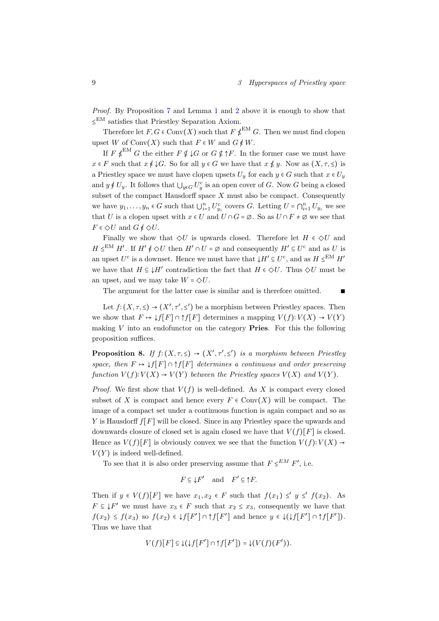Proof. By Proposition [7](#page-8-1) and Lemma [1](#page-9-0) and [2](#page-9-1) above it is enough to show that ≤ EM satisfies that Priestley Separation Axiom.

Therefore let  $F, G \in Conv(X)$  such that  $F \notin E^{\text{LM}}$  G. Then we must find clopen upset W of Conv $(X)$  such that  $F \in W$  and  $G \notin W$ .

If  $F \notin \mathbb{R}^{\text{EM}}$  G the either  $F \notin \downarrow G$  or  $G \notin \uparrow F$ . In the former case we must have  $x \in F$  such that  $x \notin \downarrow G$ . So for all  $y \in G$  we have that  $x \notin y$ . Now as  $(X, \tau, \leq)$  is a Priestley space we must have clopen upsets  $U_y$  for each  $y \in G$  such that  $x \in U_y$ and  $y \notin U_y$ . It follows that  $\bigcup_{y \in G} U_y^c$  is an open cover of G. Now G being a closed subset of the compact Hausdorff space  $X$  must also be compact. Consequently we have  $y_1, \ldots, y_n \in G$  such that  $\bigcup_{i=1}^n U_{y_i}^c$  covers G. Letting  $U = \bigcap_{i=1}^n U_{y_i}$  we see that U is a clopen upset with  $x \in U$  and  $U \cap G = \emptyset$ . So as  $U \cap F \neq \emptyset$  we see that  $F \in \Diamond U$  and  $G \notin \Diamond U$ .

Finally we show that  $\Diamond U$  is upwards closed. Therefore let  $H \in \Diamond U$  and  $H \leq^{EM} H'$ . If  $H' \notin \Diamond U$  then  $H' \cap U = \emptyset$  and consequently  $H' \subseteq U^c$  and as U is an upset  $U^c$  is a downset. Hence we must have that  $\downarrow H' \subseteq U^c$ , and as  $H \leq^{\text{EM}} H'$ we have that  $H \subseteq \downarrow H'$  contradiction the fact that  $H \in \Diamond U$ . Thus  $\Diamond U$  must be an upset, and we may take  $W = \diamondsuit U.$ 

The argument for the latter case is similar and is therefore omitted. ■

Let  $f: (X, \tau, \leq) \to (X', \tau', \leq')$  be a morphism between Priestley spaces. Then we show that  $F \mapsto \downarrow f[F] \cap \uparrow f[F]$  determines a mapping  $V(f): V(X) \to V(Y)$ making  $V$  into an endofunctor on the category **Pries**. For this the following proposition suffices.

<span id="page-10-0"></span>**Proposition 8.** If  $f:(X, \tau, \leq) \to (X', \tau', \leq')$  is a morphism between Priestley space, then  $F \mapsto \downarrow f[F] \cap \uparrow f[F]$  determines a continuous and order preserving function  $V(f): V(X) \to V(Y)$  between the Priestley spaces  $V(X)$  and  $V(Y)$ .

*Proof.* We first show that  $V(f)$  is well-defined. As X is compact every closed subset of X is compact and hence every  $F \in Conv(X)$  will be compact. The image of a compact set under a continuous function is again compact and so as Y is Hausdorff  $f[F]$  will be closed. Since in any Priestley space the upwards and downwards closure of closed set is again closed we have that  $V(f)[F]$  is closed. Hence as  $V(f)[F]$  is obviously convex we see that the function  $V(f): V(X) \rightarrow$  $V(Y)$  is indeed well-defined.

To see that it is also order preserving assume that  $F \leq^{EM} F'$ , i.e.

$$
F\subseteq \downarrow F' \quad \text{and} \quad F'\subseteq \uparrow F.
$$

Then if  $y \in V(f)[F]$  we have  $x_1, x_2 \in F$  such that  $f(x_1) \leq y \leq f(x_2)$ . As  $F \subseteq \downarrow F'$  we must have  $x_3 \in F$  such that  $x_2 \le x_3$ , consequently we have that  $f(x_2) \le f(x_3)$  so  $f(x_2) \in \mathcal{J}[F'] \cap \mathcal{J}[F']$  and hence  $y \in \mathcal{J}(\mathcal{J}[F'] \cap \mathcal{J}[F'])$ . Thus we have that

$$
V(f)[F] \subseteq \downarrow (\downarrow f[F']) \cap \uparrow f[F']) = \downarrow (V(f)(F')).
$$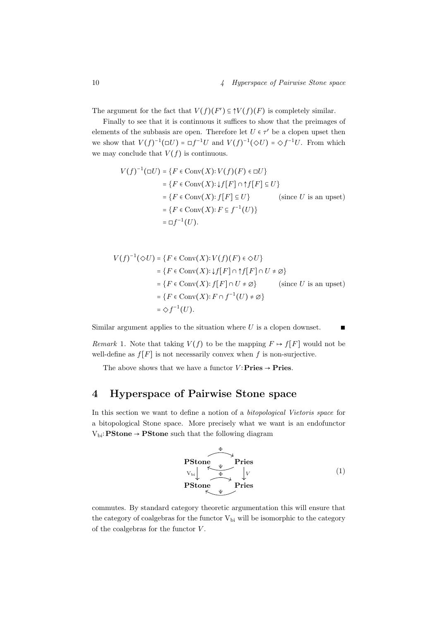The argument for the fact that  $V(f)(F') \subseteq \uparrow V(f)(F)$  is completely similar.

Finally to see that it is continuous it suffices to show that the preimages of elements of the subbasis are open. Therefore let  $U \in \tau'$  be a clopen upset then we show that  $V(f)^{-1}(\Box U) = \Box f^{-1}U$  and  $V(f)^{-1}(\Diamond U) = \Diamond f^{-1}U$ . From which we may conclude that  $V(f)$  is continuous.

$$
V(f)^{-1}(\Box U) = \{ F \in Conv(X) : V(f)(F) \in \Box U \}
$$
  
=  $\{ F \in Conv(X) : f[F] \cap f[f] \subseteq U \}$   
=  $\{ F \in Conv(X) : f[F] \subseteq U \}$  (since *U* is an upset)  
=  $\{ F \in Conv(X) : F \subseteq f^{-1}(U) \}$   
=  $\Box f^{-1}(U).$ 

$$
V(f)^{-1}(\diamondsuit U) = \{F \in Conv(X): V(f)(F) \in \diamondsuit U\}
$$
  
=  $\{F \in Conv(X): \downarrow f[F] \cap \uparrow f[F] \cap U \neq \emptyset\}$   
=  $\{F \in Conv(X): f[F] \cap U \neq \emptyset\}$  (since *U* is an upset)  
=  $\{F \in Conv(X): F \cap f^{-1}(U) \neq \emptyset\}$   
=  $\diamondsuit f^{-1}(U).$ 

Similar argument applies to the situation where  $U$  is a clopen downset.

Remark 1. Note that taking  $V(f)$  to be the mapping  $F \mapsto f[F]$  would not be well-define as  $f[F]$  is not necessarily convex when f is non-surjective.

The above shows that we have a functor  $V$ : **Pries**  $\rightarrow$  **Pries.** 

# <span id="page-11-0"></span>4 Hyperspace of Pairwise Stone space

In this section we want to define a notion of a bitopological Vietoris space for a bitopological Stone space. More precisely what we want is an endofunctor  $V_{\text{bi}}$ : **PStone**  $\rightarrow$  **PStone** such that the following diagram



commutes. By standard category theoretic argumentation this will ensure that the category of coalgebras for the functor  $V_{bi}$  will be isomorphic to the category of the coalgebras for the functor  $V$ .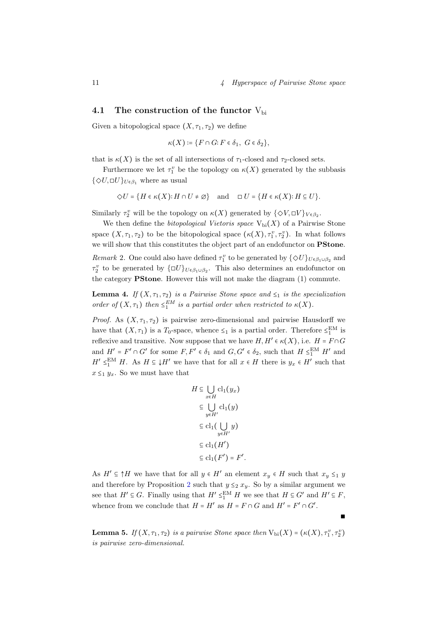## <span id="page-12-0"></span>4.1 The construction of the functor  $V_{\text{bi}}$

Given a bitopological space  $(X, \tau_1, \tau_2)$  we define

$$
\kappa(X) \coloneqq \{ F \cap G \colon F \in \delta_1, \ G \in \delta_2 \},
$$

that is  $\kappa(X)$  is the set of all intersections of  $\tau_1$ -closed and  $\tau_2$ -closed sets.

Furthermore we let  $\tau_1^v$  be the topology on  $\kappa(X)$  generated by the subbasis  $\{\Diamond U, \Box U\}_{U \in \beta_1}$  where as usual

$$
\diamondsuit U = \{ H \in \kappa(X) : H \cap U \neq \varnothing \} \quad \text{and} \quad \Box U = \{ H \in \kappa(X) : H \subseteq U \}.
$$

Similarly  $\tau_2^v$  will be the topology on  $\kappa(X)$  generated by  $\{\Diamond V, \Box V\}_{V \in \beta_2}$ .

We then define the *bitopological Vietoris space*  $V_{bi}(X)$  of a Pairwise Stone space  $(X, \tau_1, \tau_2)$  to be the bitopological space  $(\kappa(X), \tau_1^v, \tau_2^v)$ . In what follows we will show that this constitutes the object part of an endofunctor on **PStone**. Remark 2. One could also have defined  $\tau_1^v$  to be generated by  $\{\Diamond U\}_{U \in \beta_1 \cup \beta_2}$  and  $\tau_2^v$  to be generated by  $\{\Box U\}_{U \in \beta_1 \cup \beta_2}$ . This also determines an endofunctor on the category PStone. However this will not make the diagram (1) commute.

<span id="page-12-1"></span>**Lemma 4.** If  $(X, \tau_1, \tau_2)$  is a Pairwise Stone space and  $\leq_1$  is the specialization order of  $(X, \tau_1)$  then  $\leq_1^{EM}$  is a partial order when restricted to  $\kappa(X)$ .

*Proof.* As  $(X, \tau_1, \tau_2)$  is pairwise zero-dimensional and pairwise Hausdorff we have that  $(X, \tau_1)$  is a  $T_0$ -space, whence  $\leq_1$  is a partial order. Therefore  $\leq_1^{\text{EM}}$  is reflexive and transitive. Now suppose that we have  $H, H' \in \kappa(X)$ , i.e.  $H = F \cap G$ and  $H' = F' \cap G'$  for some  $F, F' \in \delta_1$  and  $G, G' \in \delta_2$ , such that  $H \leq_1^{\text{EM}} H'$  and  $H' \leq_1^{\text{EM}} H$ . As  $H \subseteq \downarrow H'$  we have that for all  $x \in H$  there is  $y_x \in H'$  such that  $x \leq_1 y_x$ . So we must have that

$$
H \subseteq \bigcup_{x \in H} cl_1(y_x)
$$
  
\n
$$
\subseteq \bigcup_{y \in H'} cl_1(y)
$$
  
\n
$$
\subseteq cl_1(\bigcup_{y \in H'} y)
$$
  
\n
$$
\subseteq cl_1(H')
$$
  
\n
$$
\subseteq cl_1(F') = F'.
$$

As  $H' \subseteq \uparrow H$  we have that for all  $y \in H'$  an element  $x_y \in H$  such that  $x_y \leq_1 y$ and therefore by Proposition [2](#page-5-2) such that  $y \leq_2 x_y$ . So by a similar argument we see that  $H' \subseteq G$ . Finally using that  $H' \leq_1^{\text{EM}} H$  we see that  $H \subseteq G'$  and  $H' \subseteq F$ , whence from we conclude that  $H = H'$  as  $H = F \cap G$  and  $H' = F' \cap G'$ .

**Lemma 5.** If  $(X, \tau_1, \tau_2)$  is a pairwise Stone space then  $V_{\text{bi}}(X) = (\kappa(X), \tau_1^v, \tau_2^v)$ is pairwise zero-dimensional.

∎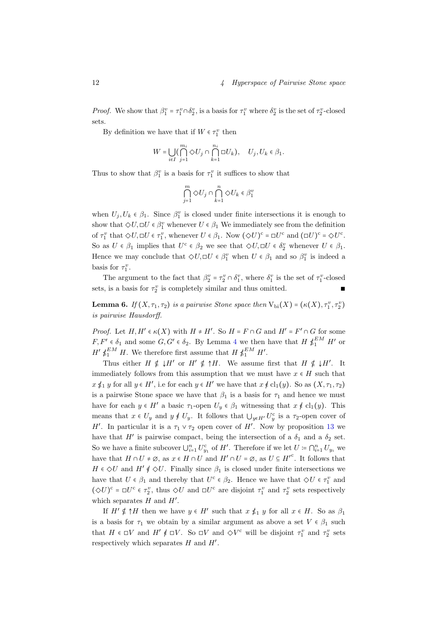*Proof.* We show that  $\beta_1^v = \tau_1^v \cap \delta_2^v$ , is a basis for  $\tau_1^v$  where  $\delta_2^v$  is the set of  $\tau_2^v$ -closed sets.

By definition we have that if  $W \in \tau_1^v$  then

$$
W = \bigcup_{i \in I} \bigl(\bigcap_{j=1}^{m_i} \Diamond U_j \cap \bigcap_{k=1}^{n_i} \Box U_k \bigr), \quad U_j, U_k \in \beta_1.
$$

Thus to show that  $\beta_1^v$  is a basis for  $\tau_1^v$  it suffices to show that

$$
\bigcap_{j=1}^m \Diamond U_j \cap \bigcap_{k=1}^n \Diamond U_k \in \beta_1^v
$$

when  $U_j, U_k \in \beta_1$ . Since  $\beta_1^v$  is closed under finite intersections it is enough to show that  $\Diamond U, \Box U \in \beta_1^v$  whenever  $U \in \beta_1$  We immediately see from the definition of  $\tau_1^v$  that  $\Diamond U, \Box U \in \tau_1^v$ , whenever  $U \in \beta_1$ . Now  $(\Diamond U)^c = \Box U^c$  and  $(\Box U)^c = \Diamond U^c$ . So as  $U \in \beta_1$  implies that  $U^c \in \beta_2$  we see that  $\Diamond U, \Box U \in \delta_2^v$  whenever  $U \in \beta_1$ . Hence we may conclude that  $\Diamond U, \Box U \in \beta_1^v$  when  $U \in \beta_1$  and so  $\beta_1^v$  is indeed a basis for  $\tau_1^v$ .

The argument to the fact that  $\beta_2^v = \tau_2^v \cap \delta_1^v$ , where  $\delta_1^v$  is the set of  $\tau_1^v$ -closed sets, is a basis for  $\tau_2^v$  is completely similar and thus omitted. ■

**Lemma 6.** If  $(X, \tau_1, \tau_2)$  is a pairwise Stone space then  $V_{\text{bi}}(X) = (\kappa(X), \tau_1^v, \tau_2^v)$ is pairwise Hausdorff.

*Proof.* Let  $H, H' \in \kappa(X)$  with  $H \neq H'$ . So  $H = F \cap G$  and  $H' = F' \cap G$  for some  $F, F' \in \delta_1$  and some  $G, G' \in \delta_2$ . By Lemma [4](#page-12-1) we then have that  $H \nleq^{EM} H'$  or  $H' \not\leq^{\text{EM}}_1 H$ . We therefore first assume that  $H \not\leq^{\text{EM}}_1 H'$ .

Thus either  $H \notin H'$  or  $H' \notin H$ . We assume first that  $H \notin H'$ . It immediately follows from this assumption that we must have  $x \in H$  such that  $x \nleq_1 y$  for all  $y \in H'$ , i.e for each  $y \in H'$  we have that  $x \notin cl_1(y)$ . So as  $(X, \tau_1, \tau_2)$ is a pairwise Stone space we have that  $\beta_1$  is a basis for  $\tau_1$  and hence we must have for each  $y \in H'$  a basic  $\tau_1$ -open  $U_y \in \beta_1$  witnessing that  $x \notin cl_1(y)$ . This means that  $x \in U_y$  and  $y \notin U_y$ . It follows that  $\bigcup_{y \in H'} U_y^c$  is a  $\tau_2$ -open cover of H'. In particular it is a  $\tau_1 \vee \tau_2$  open cover of H'. Now by proposition [13](#page-29-1) we have that H' is pairwise compact, being the intersection of a  $\delta_1$  and a  $\delta_2$  set. So we have a finite subcover  $\bigcup_{i=1}^n U_{y_1}^c$  of H'. Therefore if we let  $U \coloneqq \bigcap_{i=1}^n U_{y_i}$  we have that  $H \cap U \neq \emptyset$ , as  $x \in H \cap U$  and  $H' \cap U = \emptyset$ , as  $U \subseteq H'^c$ . It follows that  $H \in \Diamond U$  and  $H' \notin \Diamond U$ . Finally since  $\beta_1$  is closed under finite intersections we have that  $U \in \beta_1$  and thereby that  $U^c \in \beta_2$ . Hence we have that  $\Diamond U \in \tau_1^v$  and  $(\Diamond U)^c = \Box U^c \in \tau_2^v$ , thus  $\Diamond U$  and  $\Box U^c$  are disjoint  $\tau_1^v$  and  $\tau_2^v$  sets respectively which separates  $H$  and  $H'$ .

If  $H' \notin \uparrow H$  then we have  $y \in H'$  such that  $x \nleq_1 y$  for all  $x \in H$ . So as  $\beta_1$ is a basis for  $\tau_1$  we obtain by a similar argument as above a set  $V \in \beta_1$  such that  $H \in \Box V$  and  $H' \notin \Box V$ . So  $\Box V$  and  $\Diamond V^c$  will be disjoint  $\tau_1^v$  and  $\tau_2^v$  sets respectively which separates  $H$  and  $H'$ .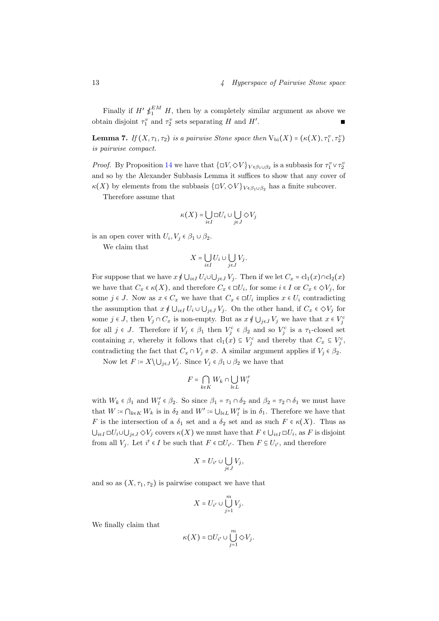Finally if  $H' \nleq_1^{EM} H$ , then by a completely similar argument as above we obtain disjoint  $\tau_1^v$  and  $\tau_2^v$  sets separating H and H' . ∎ ∎ ∎ ∎ ∎ ∎ ∎ ∎ ∎ ∎ ∎

**Lemma 7.** If  $(X, \tau_1, \tau_2)$  is a pairwise Stone space then  $V_{\text{bi}}(X) = (\kappa(X), \tau_1^v, \tau_2^v)$ is pairwise compact.

*Proof.* By Proposition [14](#page-30-4) we have that  $\{\Box V, \Diamond V\}_{V \in \beta_1 \cup \beta_2}$  is a subbasis for  $\tau_1^v \vee \tau_2^v$ and so by the Alexander Subbasis Lemma it suffices to show that any cover of  $\kappa(X)$  by elements from the subbasis  $\{\Box V, \Diamond V\}_{V \in \beta_1 \cup \beta_2}$  has a finite subcover.

Therefore assume that

$$
\kappa(X) = \bigcup_{i \in I} \Box U_i \cup \bigcup_{j \in J} \Diamond V_j
$$

is an open cover with  $U_i, V_j \in \beta_1 \cup \beta_2$ .

We claim that

$$
X = \bigcup_{i \in I} U_i \cup \bigcup_{j \in J} V_j.
$$

For suppose that we have  $x \notin \bigcup_{i \in I} U_i \cup \bigcup_{j \in J} V_j$ . Then if we let  $C_x = \text{cl}_1(x) \cap \text{cl}_2(x)$ we have that  $C_x \in \kappa(X)$ , and therefore  $C_x \in \Box U_i$ , for some  $i \in I$  or  $C_x \in \Diamond V_j$ , for some  $j \in J$ . Now as  $x \in C_x$  we have that  $C_x \in \Box U_i$  implies  $x \in U_i$  contradicting the assumption that  $x \notin \bigcup_{i \in I} U_i \cup \bigcup_{j \in J} V_j$ . On the other hand, if  $C_x \in \Diamond V_j$  for some  $j \in J$ , then  $V_j \cap C_x$  is non-empty. But as  $x \notin \bigcup_{j \in J} V_j$  we have that  $x \in V_j^c$ for all  $j \in J$ . Therefore if  $V_j \in \beta_1$  then  $V_j^c \in \beta_2$  and so  $V_j^c$  is a  $\tau_1$ -closed set containing x, whereby it follows that  $\text{cl}_1(x) \subseteq V_j^c$  and thereby that  $C_x \subseteq V_j^c$ , contradicting the fact that  $C_x \cap V_j \neq \emptyset$ . A similar argument applies if  $V_j \in \beta_2$ .

Now let  $F = X \setminus \bigcup_{j \in J} V_j$ . Since  $V_j \in \beta_1 \cup \beta_2$  we have that

$$
F=\bigcap_{k\in K}W_k\cap \bigcup_{l\in L}W_l'
$$

with  $W_k \in \beta_1$  and  $W'_l \in \beta_2$ . So since  $\beta_1 = \tau_1 \cap \delta_2$  and  $\beta_2 = \tau_2 \cap \delta_1$  we must have that  $W = \bigcap_{k \in K} W_k$  is in  $\delta_2$  and  $W' := \bigcup_{l \in L} W_l'$  is in  $\delta_1$ . Therefore we have that F is the intersection of a  $\delta_1$  set and a  $\delta_2$  set and as such  $F \in \kappa(X)$ . Thus as  $\bigcup_{i\in I}\Box U_i\cup\bigcup_{j\in J}\Diamond V_j$  covers  $\kappa(X)$  we must have that  $F\in\bigcup_{i\in I}\Box U_i$ , as  $F$  is disjoint from all  $V_j$ . Let  $i' \in I$  be such that  $F \in \Box U_{i'}$ . Then  $F \subseteq U_{i'}$ , and therefore

$$
X = U_{i'} \cup \bigcup_{j \in J} V_j,
$$

and so as  $(X, \tau_1, \tau_2)$  is pairwise compact we have that

$$
X=U_{i'}\cup\bigcup_{j=1}^m V_j.
$$

We finally claim that

$$
\kappa(X) = \square U_{i'} \cup \bigcup_{j=1}^m \diamondsuit V_j.
$$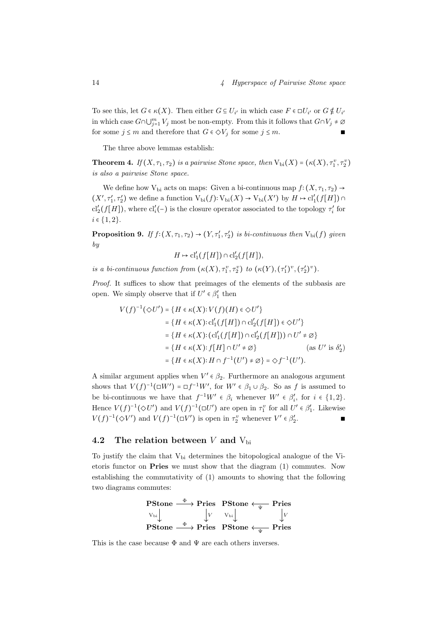To see this, let  $G \in \kappa(X)$ . Then either  $G \subseteq U_{i'}$  in which case  $F \in \Box U_{i'}$  or  $G \notin U_{i'}$ in which case  $G \cap \bigcup_{j=1}^m V_j$  most be non-empty. From this it follows that  $G \cap V_j \neq \emptyset$ for some  $j \leq m$  and therefore that  $G \in \Diamond V_j$  for some  $j \leq m$ .

The three above lemmas establish:

**Theorem 4.** If  $(X, \tau_1, \tau_2)$  is a pairwise Stone space, then  $V_{bi}(X) = (\kappa(X), \tau_1^v, \tau_2^v)$ is also a pairwise Stone space.

We define how V<sub>bi</sub> acts on maps: Given a bi-continuous map  $f:(X, \tau_1, \tau_2) \rightarrow$  $(X', \tau'_1, \tau'_2)$  we define a function  $V_{bi}(f): V_{bi}(X) \to V_{bi}(X')$  by  $H \mapsto cl'_1(f[H]) \cap$ cl'<sub>2</sub>(f[H]), where cl'<sub>i</sub>(-) is the closure operator associated to the topology  $\tau_i'$  for  $i \in \{1, 2\}.$ 

**Proposition 9.** If  $f:(X, \tau_1, \tau_2) \to (Y, \tau'_1, \tau'_2)$  is bi-continuous then  $V_{bi}(f)$  given by

$$
H \mapsto \mathrm{cl}'_1(f[H]) \cap \mathrm{cl}'_2(f[H]),
$$

is a bi-continuous function from  $(\kappa(X), \tau_1^v, \tau_2^v)$  to  $(\kappa(Y), (\tau_1')^v, (\tau_2')^v)$ .

Proof. It suffices to show that preimages of the elements of the subbasis are open. We simply observe that if  $U'\in\beta_1'$  then

$$
V(f)^{-1}(\diamondsuit U') = \{ H \in \kappa(X) : V(f)(H) \in \diamondsuit U' \}
$$
  
\n
$$
= \{ H \in \kappa(X) : cl'_1(f[H]) \cap cl'_2(f[H]) \in \diamondsuit U' \}
$$
  
\n
$$
= \{ H \in \kappa(X) : (cl'_1(f[H]) \cap cl'_2(f[H])) \cap U' \neq \emptyset \}
$$
  
\n
$$
= \{ H \in \kappa(X) : f[H] \cap U' \neq \emptyset \} \qquad \text{(as } U' \text{ is } \delta'_2 \text{)}
$$
  
\n
$$
= \{ H \in \kappa(X) : H \cap f^{-1}(U') \neq \emptyset \} = \diamondsuit f^{-1}(U').
$$

A similar argument applies when  $V' \in \beta_2$ . Furthermore an analogous argument shows that  $V(f)^{-1}(\square W') = \square f^{-1}W'$ , for  $W' \in \beta_1 \cup \beta_2$ . So as f is assumed to be bi-continuous we have that  $f^{-1}W' \in \beta_i$  whenever  $W' \in \beta'_i$ , for  $i \in \{1,2\}$ . Hence  $V(f)^{-1}(\Diamond U')$  and  $V(f)^{-1}(\Box U')$  are open in  $\tau_1^v$  for all  $U' \in \beta_1'$ . Likewise  $V(f)^{-1}(\Diamond V')$  and  $V(f)^{-1}(\Box V')$  is open in  $\tau_2^v$  whenever  $V' \in \beta_2'$ . ∎

## <span id="page-15-0"></span>4.2 The relation between V and  $V_{bi}$

To justify the claim that  $V_{\text{bi}}$  determines the bitopological analogue of the Vietoris functor on Pries we must show that the diagram (1) commutes. Now establishing the commutativity of (1) amounts to showing that the following two diagrams commutes:

| PStone              | $\Phi$              | Pries               | PStone  | $\downarrow$ | Pries |
|---------------------|---------------------|---------------------|---------|--------------|-------|
| $V_{bi} \downarrow$ | $V_{bi} \downarrow$ | $V_{bi} \downarrow$ | $V_{V}$ |              |       |
| PStone              | $\Phi$              | Pries               | PStone  | $\downarrow$ | Pries |

This is the case because  $\Phi$  and  $\Psi$  are each others inverses.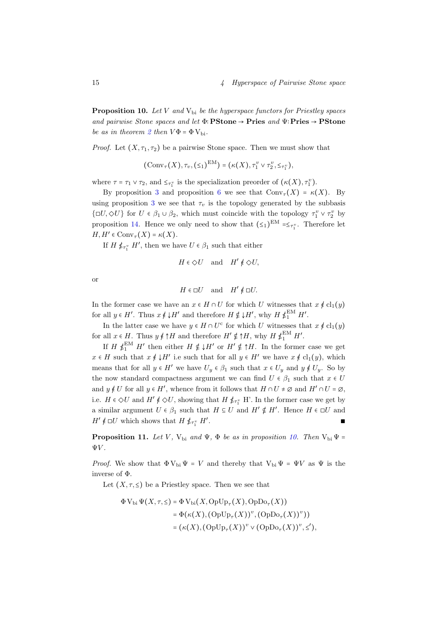<span id="page-16-0"></span>**Proposition 10.** Let V and  $V_{bi}$  be the hyperspace functors for Priestley spaces and pairwise Stone spaces and let  $\Phi$ : PStone → Pries and  $\Psi$ : Pries → PStone be as in theorem [2](#page-5-3) then  $V\Phi = \Phi V_{\rm bi}$ .

*Proof.* Let  $(X, \tau_1, \tau_2)$  be a pairwise Stone space. Then we must show that

 $(\text{Conv}_{\tau}(X), \tau_v, (\leq_1)^{\text{EM}}) = (\kappa(X), \tau_1^v \vee \tau_2^v, \leq_{\tau_1^v}),$ 

where  $\tau = \tau_1 \vee \tau_2$ , and  $\leq_{\tau_1^v}$  is the specialization preorder of  $(\kappa(X), \tau_1^v)$ .

By proposition [3](#page-5-0) and proposition [6](#page-7-0) we see that  $Conv_{\tau}(X) = \kappa(X)$ . By using proposition [3](#page-5-0) we see that  $\tau_v$  is the topology generated by the subbasis  $\{\Box U, \Diamond U\}$  for  $U \in \beta_1 \cup \beta_2$ , which must coincide with the topology  $\tau_1^v \vee \tau_2^v$  by proposition [14.](#page-30-4) Hence we only need to show that  $(\leq_1)^{EM} = \leq_{\tau_1^v}$ . Therefore let  $H, H' \in Conv_{\tau}(X) = \kappa(X).$ 

If  $H \nleq_{\tau_1^v} H'$ , then we have  $U \in \beta_1$  such that either

$$
H\in \diamondsuit U \quad \text{and} \quad H'\notin \diamondsuit U,
$$

or

$$
H\in \Box U \quad \text{and} \quad H'\notin \Box U.
$$

In the former case we have an  $x \in H \cap U$  for which U witnesses that  $x \notin cl_1(y)$ for all  $y \in H'$ . Thus  $x \notin \downarrow H'$  and therefore  $H \notin \downarrow H'$ , why  $H \notin_{1}^{\text{EM}} H'$ .

In the latter case we have  $y \in H \cap U^c$  for which U witnesses that  $x \notin cl_1(y)$ for all  $x \in H$ . Thus  $y \notin \uparrow H$  and therefore  $H' \notin \uparrow H$ , why  $H \nleq_L^{\text{EM}} H'$ .

If  $H \nleq^{EM} H'$  then either  $H \nleq H'$  or  $H' \nleq H$ . In the former case we get  $x \in H$  such that  $x \notin \downarrow H'$  i.e such that for all  $y \in H'$  we have  $x \notin cl_1(y)$ , which means that for all  $y \in H'$  we have  $U_y \in \beta_1$  such that  $x \in U_y$  and  $y \notin U_y$ . So by the now standard compactness argument we can find  $U \in \beta_1$  such that  $x \in U$ and  $y \notin U$  for all  $y \in H'$ , whence from it follows that  $H \cap U \neq \emptyset$  and  $H' \cap U = \emptyset$ , i.e.  $H \in \Diamond U$  and  $H' \notin \Diamond U$ , showing that  $H \nleq_{\tau_1^v} H'$ . In the former case we get by a similar argument  $U \in \beta_1$  such that  $H \subseteq U$  and  $H' \not\subseteq H'$ . Hence  $H \in \Box U$  and  $H' \notin \Box U$  which shows that  $H \nleq_{\tau_1^v} H'$ . ∎ ∎ newspaper in the second property of the second property of the second property of the second property of

**Proposition 11.** Let V, V<sub>bi</sub> and  $\Psi$ ,  $\Phi$  be as in proposition [10.](#page-16-0) Then V<sub>bi</sub>  $\Psi$  =  $\Psi V$ .

*Proof.* We show that  $\Phi V_{bi} \Psi = V$  and thereby that  $V_{bi} \Psi = \Psi V$  as  $\Psi$  is the inverse of Φ.

Let  $(X, \tau, \leq)$  be a Priestley space. Then we see that

$$
\Phi V_{\text{bi}} \Psi(X, \tau, \leq) = \Phi V_{\text{bi}}(X, \text{OpUp}_{\tau}(X), \text{OpDo}_{\tau}(X))
$$
  

$$
= \Phi(\kappa(X), (\text{OpUp}_{\tau}(X))^v, (\text{OpDo}_{\tau}(X))^v))
$$
  

$$
= (\kappa(X), (\text{OpUp}_{\tau}(X))^v \vee (\text{OpDo}_{\tau}(X))^v, \leq'),
$$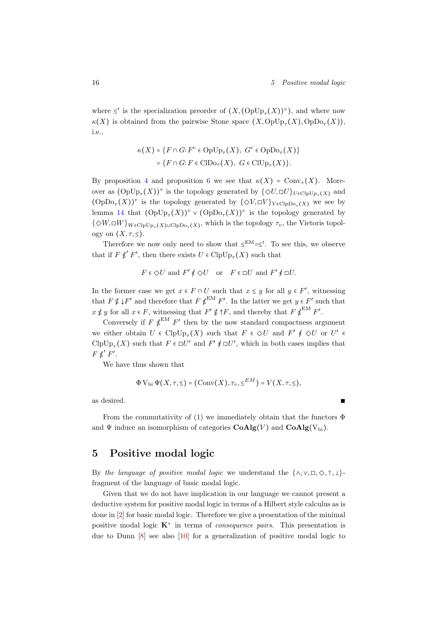where  $\le'$  is the specialization preorder of  $(X, ({\rm OpUp}_{\tau}(X))^v)$ , and where now  $\kappa(X)$  is obtained from the pairwise Stone space  $(X, \text{OpUp}_{\tau}(X), \text{OpDo}_{\tau}(X)),$ i.e.,

$$
\kappa(X) = \{ F \cap G : F^c \in \text{OpUp}_{\tau}(X), \ G^c \in \text{OpDo}_{\tau}(X) \}
$$

$$
= \{ F \cap G : F \in \text{ClDo}_{\tau}(X), \ G \in \text{ClUp}_{\tau}(X) \}.
$$

By proposition [4](#page-5-1) and proposition [6](#page-7-0) we see that  $\kappa(X) = \text{Conv}_{\tau}(X)$ . Moreover as  $(\text{OpUp}_{\tau}(X))^v$  is the topology generated by  $\{\Diamond U, \Box U\}_{U \in \text{ClpUp}_{\tau}(X)}$  and  $(\text{OpDo}_{\tau}(X))^v$  is the topology generated by  $\{\Diamond V, \Box V\}_{V \in \text{ClpDo}_{\tau}(X)}$  we see by lemma [14](#page-30-4) that  $(\text{OpUp}_{\tau}(X))^v \vee (\text{OpDo}_{\tau}(X))^v$  is the topology generated by  $\{\diamond W, \Box W\}_{W \in \text{ClpUp}_{\tau}(X) \cup \text{ClpDo}_{\tau}(X)}$ , which is the topology  $\tau_v$ , the Vietoris topology on  $(X, \tau, \leq)$ .

Therefore we now only need to show that  $\leq^{EM}=\leq'$ . To see this, we observe that if  $F \not\leq' F'$ , then there exists  $U \in \mathrm{ClpUp}_{\tau}(X)$  such that

$$
F\in \diamondsuit U \text{ and } F'\nleqslant \diamondsuit U \quad \text{or} \quad F\in \Box U \text{ and } F'\nleqslant \Box U.
$$

In the former case we get  $x \in F \cap U$  such that  $x \leq y$  for all  $y \in F'$ , witnessing that  $F \notin \downarrow F'$  and therefore that  $F \notin^{\text{EM}} F'$ . In the latter we get  $y \in F'$  such that  $x \not\leq y$  for all  $x \in F$ , witnessing that  $F' \not\in \uparrow F$ , and thereby that  $F \not\leq^{\text{EM}} F'$ .

Conversely if  $F \notin \mathbb{R}^M$   $F'$  then by the now standard compactness argument we either obtain  $U \in \text{ClpUp}_{\tau}(X)$  such that  $F \in \Diamond U$  and  $F' \notin \Diamond U$  or  $U' \in$  $\mathrm{ClpUp}_{\tau}(X)$  such that  $F \in \Box U'$  and  $F' \notin \Box U'$ , which in both cases implies that  $F \nleq' F'.$ 

We have thus shown that

$$
\Phi V_{\text{bi}} \Psi(X, \tau, \leq) = (\text{Conv}(X), \tau_v, \leq^{EM}) = V(X, \tau, \leq),
$$

as desired.

From the commutativity of (1) we immediately obtain that the functors  $\Phi$ and  $\Psi$  induce an isomorphism of categories  $CoAlg(V)$  and  $CoAlg(V_{bi})$ .

## <span id="page-17-0"></span>5 Positive modal logic

By the language of positive modal logic we understand the  $\{\wedge, \vee, \Box, \Diamond, \top, \bot\}$ fragment of the language of basic modal logic.

Given that we do not have implication in our language we cannot present a deductive system for positive modal logic in terms of a Hilbert style calculus as is done in [\[2\]](#page-30-2) for basic modal logic. Therefore we give a presentation of the minimal positive modal logic  $K^+$  in terms of *consequence pairs*. This presentation is due to Dunn [\[8\]](#page-31-11) see also [\[10\]](#page-31-12) for a generalization of positive modal logic to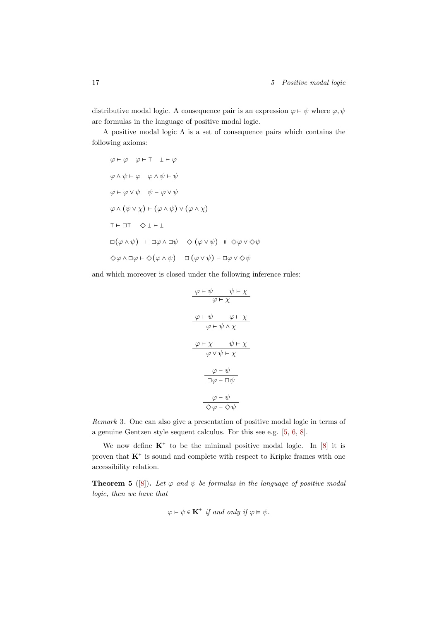distributive modal logic. A consequence pair is an expression  $\varphi \vdash \psi$  where  $\varphi, \psi$ are formulas in the language of positive modal logic.

A positive modal logic  $\Lambda$  is a set of consequence pairs which contains the following axioms:

$$
\varphi \vdash \varphi \quad \varphi \vdash \top \quad \bot \vdash \varphi
$$
  
\n
$$
\varphi \land \psi \vdash \varphi \quad \varphi \land \psi \vdash \psi
$$
  
\n
$$
\varphi \vdash \varphi \lor \psi \quad \psi \vdash \varphi \lor \psi
$$
  
\n
$$
\varphi \land (\psi \lor \chi) \vdash (\varphi \land \psi) \lor (\varphi \land \chi)
$$
  
\n
$$
\top \vdash \Box \top \quad \diamondsuit \bot \vdash \bot
$$
  
\n
$$
\Box(\varphi \land \psi) \dashv \vdash \Box \varphi \land \Box \psi \quad \diamond (\varphi \lor \psi) \dashv \vdash \diamond \varphi \lor \diamond \psi
$$
  
\n
$$
\diamond \varphi \land \Box \varphi \vdash \diamond (\varphi \land \psi) \quad \Box (\varphi \lor \psi) \vdash \Box \varphi \lor \diamond \psi
$$

and which moreover is closed under the following inference rules:

$$
\frac{\varphi \vdash \psi \qquad \psi \vdash \chi}{\varphi \vdash \chi}
$$
\n
$$
\frac{\varphi \vdash \psi \qquad \varphi \vdash \chi}{\varphi \vdash \psi \land \chi}
$$
\n
$$
\frac{\varphi \vdash \chi \qquad \psi \vdash \chi}{\varphi \lor \psi \vdash \chi}
$$
\n
$$
\frac{\varphi \vdash \psi}{\Box \varphi \vdash \Box \psi}
$$
\n
$$
\frac{\varphi \vdash \psi}{\Box \varphi \vdash \Box \psi}
$$
\n
$$
\frac{\varphi \vdash \psi}{\Diamond \varphi \vdash \Diamond \psi}
$$

Remark 3. One can also give a presentation of positive modal logic in terms of a genuine Gentzen style sequent calculus. For this see e.g. [\[5,](#page-31-13) [6,](#page-31-14) [8\]](#page-31-11).

We now define  $K^+$  to be the minimal positive modal logic. In [\[8\]](#page-31-11) it is proven that  $K^+$  is sound and complete with respect to Kripke frames with one accessibility relation.

**Theorem 5** ([\[8\]](#page-31-11)). Let  $\varphi$  and  $\psi$  be formulas in the language of positive modal logic, then we have that

$$
\varphi \vdash \psi \in \mathbf{K}^+ \text{ if and only if } \varphi \models \psi.
$$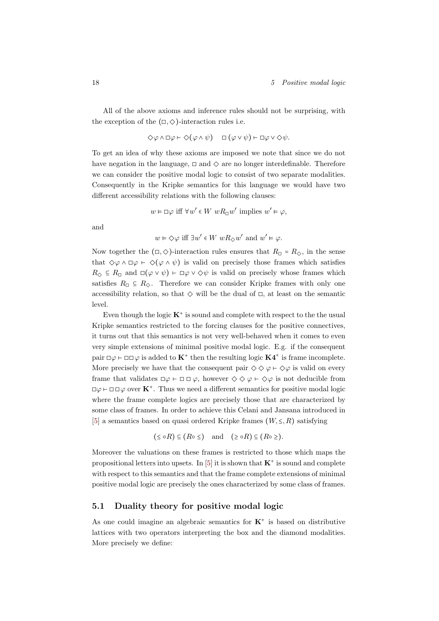All of the above axioms and inference rules should not be surprising, with the exception of the  $(\Box, \Diamond)$ -interaction rules i.e.

$$
\Diamond \varphi \land \Box \varphi \vdash \Diamond (\varphi \land \psi) \quad \Box (\varphi \lor \psi) \vdash \Box \varphi \lor \Diamond \psi.
$$

To get an idea of why these axioms are imposed we note that since we do not have negation in the language,  $\Box$  and  $\diamondsuit$  are no longer interdefinable. Therefore we can consider the positive modal logic to consist of two separate modalities. Consequently in the Kripke semantics for this language we would have two different accessibility relations with the following clauses:

$$
w \vDash \Box \varphi \text{ iff } \forall w' \in W \text{ wR}_{\Box} w' \text{ implies } w' \vDash \varphi,
$$

and

$$
w \vDash \Diamond \varphi
$$
 iff  $\exists w' \in W$   $wR_{\Diamond}w'$  and  $w' \vDash \varphi$ .

Now together the  $(\Box, \Diamond)$ -interaction rules ensures that  $R_{\Box} = R_{\Diamond}$ , in the sense that  $\Diamond \varphi \land \Box \varphi \vdash \Diamond (\varphi \land \psi)$  is valid on precisely those frames which satisfies  $R_{\diamondsuit} \subseteq R_{\Box}$  and  $\Box(\varphi \vee \psi) \vdash \Box \varphi \vee \Diamond \psi$  is valid on precisely whose frames which satisfies  $R_{\Box} \subseteq R_{\Diamond}$ . Therefore we can consider Kripke frames with only one accessibility relation, so that  $\diamond$  will be the dual of  $\square$ , at least on the semantic level.

Even though the logic  $K^+$  is sound and complete with respect to the the usual Kripke semantics restricted to the forcing clauses for the positive connectives, it turns out that this semantics is not very well-behaved when it comes to even very simple extensions of minimal positive modal logic. E.g. if the consequent pair  $\Box \varphi \vdash \Box \Box \varphi$  is added to  $\mathbf{K}^+$  then the resulting logic  $\mathbf{K4}^+$  is frame incomplete. More precisely we have that the consequent pair  $\Diamond \Diamond \varphi \vdash \Diamond \varphi$  is valid on every frame that validates  $\Box \varphi \vdash \Box \Box \varphi$ , however  $\Diamond \Diamond \varphi \vdash \Diamond \varphi$  is not deducible from  $\Box \varphi \vdash \Box \Box \varphi$  over  $\mathbf{K}^+$ . Thus we need a different semantics for positive modal logic where the frame complete logics are precisely those that are characterized by some class of frames. In order to achieve this Celani and Jansana introduced in [\[5\]](#page-31-13) a semantics based on quasi ordered Kripke frames  $(W, \leq, R)$  satisfying

$$
(\leq \circ R) \subseteq (R \circ \leq)
$$
 and  $(\geq \circ R) \subseteq (R \circ \geq)$ .

Moreover the valuations on these frames is restricted to those which maps the propositional letters into upsets. In  $[5]$  it is shown that  $K^+$  is sound and complete with respect to this semantics and that the frame complete extensions of minimal positive modal logic are precisely the ones characterized by some class of frames.

## <span id="page-19-0"></span>5.1 Duality theory for positive modal logic

As one could imagine an algebraic semantics for  $K^+$  is based on distributive lattices with two operators interpreting the box and the diamond modalities. More precisely we define: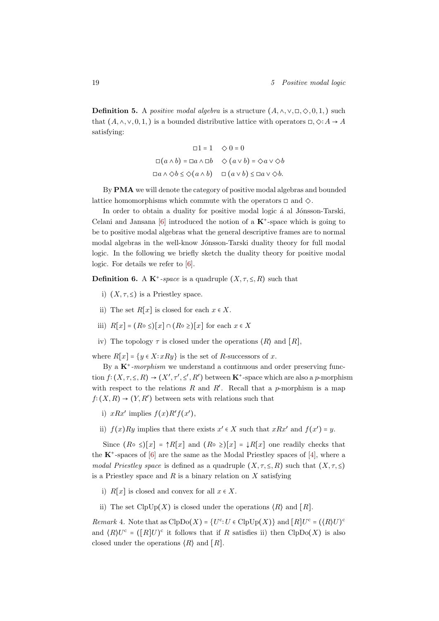**Definition 5.** A *positive modal algebra* is a structure  $(A, \wedge, \vee, \square, \diamondsuit, 0, 1)$  such that  $(A, \wedge, \vee, 0, 1)$  is a bounded distributive lattice with operators  $\Box, \Diamond: A \rightarrow A$ satisfying:

$$
\Box 1 = 1 \quad \diamondsuit 0 = 0
$$
  

$$
\Box(a \land b) = \Box a \land \Box b \quad \diamondsuit (a \lor b) = \diamondsuit a \lor \diamondsuit b
$$
  

$$
\Box a \land \diamondsuit b \leq \diamondsuit (a \land b) \quad \Box (a \lor b) \leq \Box a \lor \diamondsuit b.
$$

By PMA we will denote the category of positive modal algebras and bounded lattice homomorphisms which commute with the operators  $\Box$  and  $\diamondsuit$ .

In order to obtain a duality for positive modal logic á al Jónsson-Tarski, Celani and Jansana  $[6]$  introduced the notion of a  $K^+$ -space which is going to be to positive modal algebras what the general descriptive frames are to normal modal algebras in the well-know Jónsson-Tarski duality theory for full modal logic. In the following we briefly sketch the duality theory for positive modal logic. For details we refer to [\[6\]](#page-31-14).

**Definition 6.** A  $K^+$ -space is a quadruple  $(X, \tau, \leq, R)$  such that

- i)  $(X, \tau, \leq)$  is a Priestley space.
- ii) The set  $R[x]$  is closed for each  $x \in X$ .
- iii)  $R[x] = (R \circ \leq)[x] \cap (R \circ \geq)[x]$  for each  $x \in X$
- iv) The topology  $\tau$  is closed under the operations  $\langle R \rangle$  and  $\langle R \rangle$ ,

where  $R[x] = \{y \in X : xRy\}$  is the set of R-successors of x.

By a  $K^+$ -morphism we understand a continuous and order preserving function  $f: (X, \tau, \leq, R) \to (X', \tau', \leq', R')$  between K<sup>+</sup>-space which are also a *p*-morphism with respect to the relations  $R$  and  $R'$ . Recall that a p-morphism is a map  $f: (X, R) \to (Y, R')$  between sets with relations such that

- i)  $xRx'$  implies  $f(x)R'f(x')$ ,
- ii)  $f(x)Ry$  implies that there exists  $x' \in X$  such that  $xRx'$  and  $f(x') = y$ .

Since  $(R \circ \leq)[x] = \uparrow R[x]$  and  $(R \circ \geq)[x] = \downarrow R[x]$  one readily checks that the  $K^*$ -spaces of  $[6]$  are the same as the Modal Priestley spaces of  $[4]$ , where a modal Priestley space is defined as a quadruple  $(X, \tau, \leq, R)$  such that  $(X, \tau, \leq)$ is a Priestley space and R is a binary relation on X satisfying

- i)  $R[x]$  is closed and convex for all  $x \in X$ .
- ii) The set  $\text{ClpUp}(X)$  is closed under the operations  $\langle R \rangle$  and  $[R]$ .

*Remark* 4. Note that as  $\text{ClpDo}(X) = \{U^c : U \in \text{ClpUp}(X)\}\$ and  $[R]U^c = (\langle R \rangle U)^c$ and  $(R)U^c = ([R]U)^c$  it follows that if R satisfies ii) then  $ClpDo(X)$  is also closed under the operations  $\langle R \rangle$  and  $\langle R \rangle$ .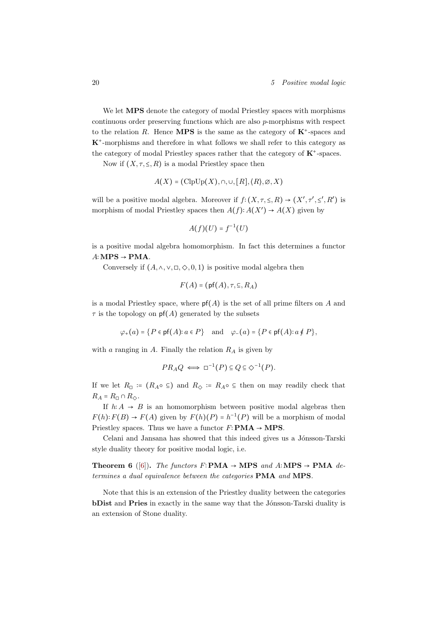We let **MPS** denote the category of modal Priestley spaces with morphisms continuous order preserving functions which are also p-morphisms with respect to the relation R. Hence **MPS** is the same as the category of  $K^*$ -spaces and K<sup>+</sup> -morphisms and therefore in what follows we shall refer to this category as the category of modal Priestley spaces rather that the category of  $K^*$ -spaces.

Now if  $(X, \tau, \leq, R)$  is a modal Priestley space then

$$
A(X) = (\text{ClpUp}(X), \cap, \cup, [R], \langle R \rangle, \emptyset, X)
$$

will be a positive modal algebra. Moreover if  $f: (X, \tau, \leq, R) \to (X', \tau', \leq', R')$  is morphism of modal Priestley spaces then  $A(f): A(X') \to A(X)$  given by

$$
A(f)(U) = f^{-1}(U)
$$

is a positive modal algebra homomorphism. In fact this determines a functor  $A:MPS \rightarrow PMA$ .

Conversely if  $(A, \wedge, \vee, \Box, \Diamond, 0, 1)$  is positive modal algebra then

$$
F(A) = (\mathsf{pf}(A), \tau, \subseteq, R_A)
$$

is a modal Priestley space, where  $p f(A)$  is the set of all prime filters on A and  $\tau$  is the topology on  $pf(A)$  generated by the subsets

 $\varphi_+(a) = \{P \in \text{pf}(A): a \in P\}$  and  $\varphi_-(a) = \{P \in \text{pf}(A): a \notin P\},$ 

with a ranging in A. Finally the relation  $R_A$  is given by

$$
PR_A Q \iff \Box^{-1}(P) \subseteq Q \subseteq \Diamond^{-1}(P).
$$

If we let  $R_{\Box}$  :=  $(R_A \circ \subseteq)$  and  $R_{\Diamond}$  :=  $R_A \circ \subseteq$  then on may readily check that  $R_A = R_{\Box} \cap R_{\Diamond}.$ 

If  $h: A \rightarrow B$  is an homomorphism between positive modal algebras then  $F(h): F(B) \to F(A)$  given by  $F(h)(P) = h^{-1}(P)$  will be a morphism of modal Priestley spaces. Thus we have a functor  $F$ ∶PMA → MPS.

Celani and Jansana has showed that this indeed gives us a Jónsson-Tarski style duality theory for positive modal logic, i.e.

**Theorem 6** ([\[6\]](#page-31-14)). The functors  $F: PMA → MPS$  and  $A: MPS → PMA$  determines a dual equivalence between the categories PMA and MPS.

Note that this is an extension of the Priestley duality between the categories bDist and Pries in exactly in the same way that the Jónsson-Tarski duality is an extension of Stone duality.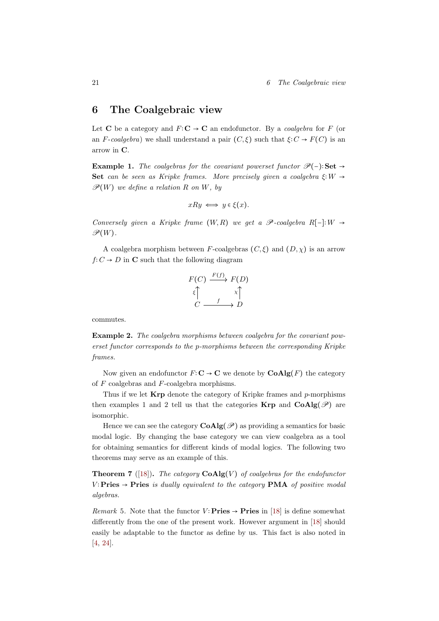## <span id="page-22-0"></span>6 The Coalgebraic view

Let C be a category and  $F: \mathbb{C} \to \mathbb{C}$  an endofunctor. By a *coalgebra* for F (or an F-coalgebra) we shall understand a pair  $(C, \xi)$  such that  $\xi: C \to F(C)$  is an arrow in C.

Example 1. The coalgebras for the covariant powerset functor  $\mathscr{P}(-)$ : Set → Set can be seen as Kripke frames. More precisely given a coalgebra  $\xi:W \to$  $\mathscr{P}(W)$  we define a relation R on W, by

$$
xRy \iff y \in \xi(x).
$$

Conversely given a Kripke frame  $(W, R)$  we get a  $\mathscr P$ -coalgebra R[-]: $W \rightarrow$  $\mathscr{P}(W)$ .

A coalgebra morphism between F-coalgebras  $(C, \xi)$  and  $(D, \chi)$  is an arrow  $f: C \to D$  in C such that the following diagram

$$
F(C) \xrightarrow{F(f)} F(D)
$$
  

$$
\xleftarrow{f} \xrightarrow{x} \uparrow
$$
  

$$
C \xrightarrow{f} D
$$

commutes.

Example 2. The coalgebra morphisms between coalgebra for the covariant powerset functor corresponds to the p-morphisms between the corresponding Kripke frames.

Now given an endofunctor  $F: \mathbf{C} \to \mathbf{C}$  we denote by  $\mathbf{CoAlg}(F)$  the category of  $F$  coalgebras and  $F$ -coalgebra morphisms.

Thus if we let  $\bf{Krp}$  denote the category of Kripke frames and p-morphisms then examples 1 and 2 tell us that the categories  $\text{Krp}$  and  $\text{CoAlg}(\mathscr{P})$  are isomorphic.

Hence we can see the category  $\mathbf{CoAlg}(\mathscr{P})$  as providing a semantics for basic modal logic. By changing the base category we can view coalgebra as a tool for obtaining semantics for different kinds of modal logics. The following two theorems may serve as an example of this.

<span id="page-22-1"></span>**Theorem 7** ([\[18\]](#page-31-1)). The category  $\mathbf{CoAlg}(V)$  of coalgebras for the endofunctor V: Pries  $\rightarrow$  Pries is dually equivalent to the category PMA of positive modal algebras.

Remark 5. Note that the functor  $V: \textbf{Pries} \rightarrow \textbf{Pries}$  in [\[18\]](#page-31-1) is define somewhat differently from the one of the present work. However argument in [\[18\]](#page-31-1) should easily be adaptable to the functor as define by us. This fact is also noted in [\[4,](#page-31-0) [24\]](#page-32-0).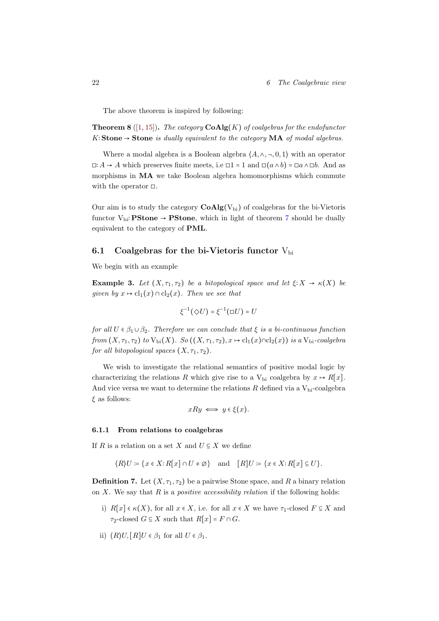The above theorem is inspired by following:

**Theorem 8** ([\[1,](#page-30-1) [15\]](#page-31-6)). The category  $\mathbf{CoAlg}(K)$  of coalgebras for the endofunctor K∶Stone  $\rightarrow$  Stone is dually equivalent to the category MA of modal algebras.

Where a modal algebra is a Boolean algebra  $\langle A, \wedge, \neg, 0, 1 \rangle$  with an operator **□**:  $A \rightarrow A$  which preserves finite meets, i.e **□** 1 = 1 and **□**( $a \land b$ ) = □ $a \land \Box b$ . And as morphisms in MA we take Boolean algebra homomorphisms which commute with the operator  $\square$ .

Our aim is to study the category  $CoAlg(V_{bi})$  of coalgebras for the bi-Vietoris functor  $V_{bi}$ : **PStone**  $\rightarrow$  **PStone**, which in light of theorem [7](#page-22-1) should be dually equivalent to the category of PML.

## <span id="page-23-0"></span>6.1 Coalgebras for the bi-Vietoris functor  $V_{\text{bi}}$

We begin with an example

**Example 3.** Let  $(X, \tau_1, \tau_2)$  be a bitopological space and let  $\xi: X \to \kappa(X)$  be given by  $x \mapsto \text{cl}_1(x) \cap \text{cl}_2(x)$ . Then we see that

$$
\xi^{-1}(\Diamond U) = \xi^{-1}(\Box U) = U
$$

for all  $U \in \beta_1 \cup \beta_2$ . Therefore we can conclude that  $\xi$  is a bi-continuous function from  $(X, \tau_1, \tau_2)$  to  $V_{bi}(X)$ . So  $((X, \tau_1, \tau_2), x \mapsto cl_1(x) \cap cl_2(x))$  is a  $V_{bi}$ -coalgebra for all bitopological spaces  $(X, \tau_1, \tau_2)$ .

We wish to investigate the relational semantics of positive modal logic by characterizing the relations R which give rise to a  $V_{bi}$  coalgebra by  $x \mapsto R[x]$ . And vice versa we want to determine the relations  $R$  defined via a  $V_{\rm bi}$ -coalgebra  $\xi$  as follows:

$$
xRy \iff y \in \xi(x).
$$

### <span id="page-23-1"></span>6.1.1 From relations to coalgebras

If R is a relation on a set X and  $U \subseteq X$  we define

$$
\langle R \rangle U \coloneqq \{ x \in X : R[x] \cap U \neq \emptyset \} \quad \text{and} \quad [R]U \coloneqq \{ x \in X : R[x] \subseteq U \}.
$$

**Definition 7.** Let  $(X, \tau_1, \tau_2)$  be a pairwise Stone space, and R a binary relation on X. We say that R is a *positive accessibility relation* if the following holds:

- i)  $R[x] \in \kappa(X)$ , for all  $x \in X$ , i.e. for all  $x \in X$  we have  $\tau_1$ -closed  $F \subseteq X$  and  $\tau_2$ -closed  $G \subseteq X$  such that  $R[x] = F \cap G$ .
- ii)  $\langle R \rangle U$ ,  $\lceil R \rceil U \in \beta_1$  for all  $U \in \beta_1$ .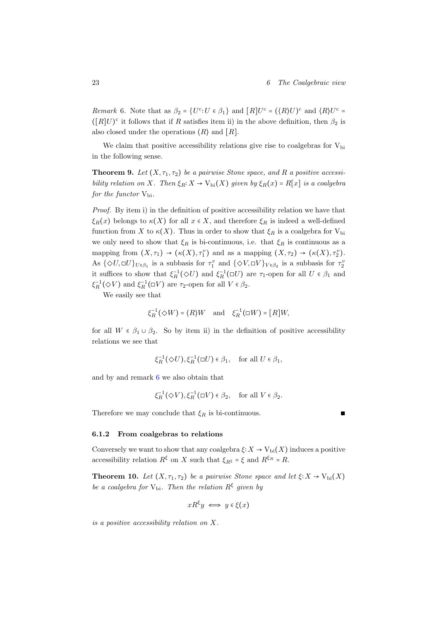<span id="page-24-1"></span>*Remark* 6. Note that as  $\beta_2 = \{U^c : U \in \beta_1\}$  and  $[R]U^c = (\langle R \rangle U)^c$  and  $\langle R \rangle U^c =$  $([R]U)$ <sup>c</sup> it follows that if R satisfies item ii) in the above definition, then  $\beta_2$  is also closed under the operations  $\langle R \rangle$  and  $\langle R \rangle$ .

We claim that positive accessibility relations give rise to coalgebras for  $V_{\rm bi}$ in the following sense.

**Theorem 9.** Let  $(X, \tau_1, \tau_2)$  be a pairwise Stone space, and R a positive accessibility relation on X. Then  $\xi_R: X \to V_{\text{bi}}(X)$  given by  $\xi_R(x) = R[x]$  is a coalgebra for the functor  $V_{\rm bi}$ .

Proof. By item i) in the definition of positive accessibility relation we have that  $\xi_R(x)$  belongs to  $\kappa(X)$  for all  $x \in X$ , and therefore  $\xi_R$  is indeed a well-defined function from X to  $\kappa(X)$ . Thus in order to show that  $\xi_R$  is a coalgebra for  $V_{\text{bi}}$ we only need to show that  $\xi_R$  is bi-continuous, i.e. that  $\xi_R$  is continuous as a mapping from  $(X, \tau_1) \to (\kappa(X), \tau_1^v)$  and as a mapping  $(X, \tau_2) \to (\kappa(X), \tau_2^v)$ . As  $\{\Diamond U, \Box U\}_{U \in \beta_1}$  is a subbasis for  $\tau_1^v$  and  $\{\Diamond V, \Box V\}_{V \in \beta_2}$  is a subbasis for  $\tau_2^v$ it suffices to show that  $\xi_R^{-1}(\Diamond U)$  and  $\xi_R^{-1}(\Box U)$  are  $\tau_1$ -open for all  $U \in \beta_1$  and  $\xi_R^{-1}(\diamondsuit V)$  and  $\xi_R^{-1}(\square V)$  are  $\tau_2$ -open for all  $V \in \beta_2$ .

We easily see that

$$
\xi_R^{-1}(\diamondsuit W)=\langle R\rangle W\quad\text{and}\quad\xi_R^{-1}(\square W)=[R]W,
$$

for all  $W \in \beta_1 \cup \beta_2$ . So by item ii) in the definition of positive accessibility relations we see that

$$
\xi_R^{-1}(\diamondsuit U), \xi_R^{-1}(\Box U) \in \beta_1, \quad \text{for all } U \in \beta_1,
$$

and by and remark [6](#page-24-1) we also obtain that

$$
\xi_R^{-1}(\diamondsuit V), \xi_R^{-1}(\Box V)\in \beta_2, \quad \text{for all } V\in \beta_2.
$$

Therefore we may conclude that  $\xi_R$  is bi-continuous. ■

#### <span id="page-24-0"></span>6.1.2 From coalgebras to relations

Conversely we want to show that any coalgebra  $\xi: X \to V_{\text{bi}}(X)$  induces a positive accessibility relation  $R^{\xi}$  on X such that  $\xi_{R^{\xi}} = \xi$  and  $R^{\xi_R} = R$ .

**Theorem 10.** Let  $(X, \tau_1, \tau_2)$  be a pairwise Stone space and let  $\xi: X \to V_{\text{bi}}(X)$ be a coalgebra for  $V_{bi}$ . Then the relation  $R^{\xi}$  given by

$$
xR^{\xi}y \iff y \in \xi(x)
$$

is a positive accessibility relation on X.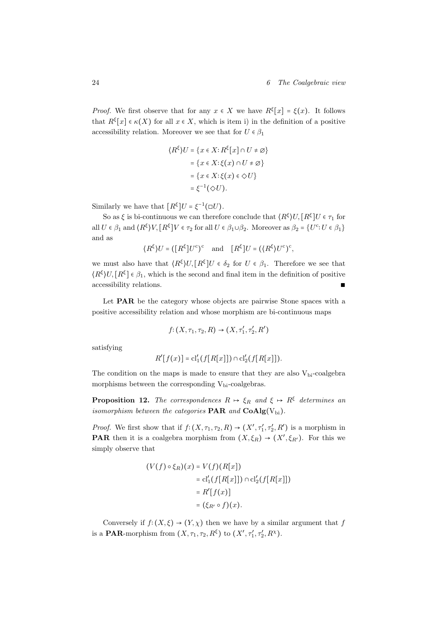*Proof.* We first observe that for any  $x \in X$  we have  $R^{\xi}[x] = \xi(x)$ . It follows that  $R^{\xi}[x] \in \kappa(X)$  for all  $x \in X$ , which is item i) in the definition of a positive accessibility relation. Moreover we see that for  $U \in \beta_1$ 

$$
\langle R^{\xi} \rangle U = \{ x \in X : R^{\xi}[x] \cap U \neq \varnothing \}
$$

$$
= \{ x \in X : \xi(x) \cap U \neq \varnothing \}
$$

$$
= \{ x \in X : \xi(x) \in \Diamond U \}
$$

$$
= \xi^{-1}(\Diamond U).
$$

Similarly we have that  $[R^{\xi}]U = \xi^{-1}(\Box U)$ .

So as  $\xi$  is bi-continuous we can therefore conclude that  $\langle R^{\xi} \rangle U, [R^{\xi}] U \in \tau_1$  for all  $U \in \beta_1$  and  $\langle R^{\xi} \rangle V$ ,  $[R^{\xi}]V \in \tau_2$  for all  $U \in \beta_1 \cup \beta_2$ . Moreover as  $\beta_2 = \{U^c : U \in \beta_1\}$ and as

$$
(R^{\xi})U = ([R^{\xi}]U^{c})^{c}
$$
 and  $[R^{\xi}]U = ((R^{\xi})U^{c})^{c}$ ,

we must also have that  $\langle R^{\xi} \rangle U, [R^{\xi}] U \in \delta_2$  for  $U \in \beta_1$ . Therefore we see that  $\langle R^{\xi} \rangle U, [R^{\xi}] \in \beta_1$ , which is the second and final item in the definition of positive accessibility relations. ∎

Let **PAR** be the category whose objects are pairwise Stone spaces with a positive accessibility relation and whose morphism are bi-continuous maps

$$
f: (X, \tau_1, \tau_2, R) \to (X, \tau'_1, \tau'_2, R')
$$

satisfying

$$
R'[f(x)] = cl'_1(f[R[x]]) \cap cl'_2(f[R[x]]).
$$

The condition on the maps is made to ensure that they are also  $V_{bi}$ -coalgebra morphisms between the corresponding  $V_{bi}$ -coalgebras.

**Proposition 12.** The correspondences  $R \rightarrow \xi_R$  and  $\xi \rightarrow R^{\xi}$  determines and isomorphism between the categories  $\text{PAR}$  and  $\text{CoAlg}(V_{bi})$ .

*Proof.* We first show that if  $f:(X, \tau_1, \tau_2, R) \to (X', \tau_1', \tau_2', R')$  is a morphism in **PAR** then it is a coalgebra morphism from  $(X, \xi_R) \to (X', \xi_{R'})$ . For this we simply observe that

$$
(V(f) \circ \xi_R)(x) = V(f)(R[x])
$$
  
= cl'<sub>1</sub>(f[R[x]])  $\cap$  cl'<sub>2</sub>(f[R[x]])  
= R'[f(x)]  
= (\xi\_{R'} \circ f)(x).

Conversely if  $f: (X, \xi) \to (Y, \chi)$  then we have by a similar argument that f is a **PAR**-morphism from  $(X, \tau_1, \tau_2, R^{\xi})$  to  $(X', \tau'_1, \tau'_2, R^{\chi})$ .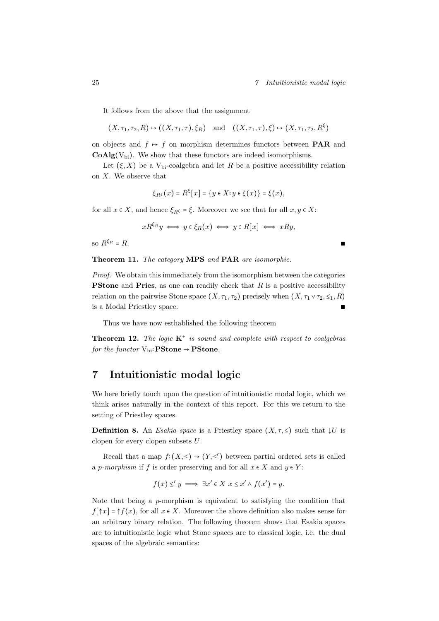It follows from the above that the assignment

$$
(X, \tau_1, \tau_2, R) \mapsto ((X, \tau_1, \tau), \xi_R)
$$
 and  $((X, \tau_1, \tau), \xi) \mapsto (X, \tau_1, \tau_2, R^{\xi})$ 

on objects and  $f \mapsto f$  on morphism determines functors between **PAR** and  $CoAlg(V_{bi})$ . We show that these functors are indeed isomorphisms.

Let  $(\xi, X)$  be a V<sub>bi</sub>-coalgebra and let R be a positive accessibility relation on X. We observe that

$$
\xi_{R^{\xi}}(x) = R^{\xi}[x] = \{y \in X : y \in \xi(x)\} = \xi(x),
$$

for all  $x \in X$ , and hence  $\xi_{R^{\xi}} = \xi$ . Moreover we see that for all  $x, y \in X$ :

$$
xR^{\xi_R}y \iff y \in \xi_R(x) \iff y \in R[x] \iff xRy,
$$

so  $R^{\xi_R} = R$ .  $\xi_R = R$ .

Theorem 11. The category MPS and PAR are isomorphic.

Proof. We obtain this immediately from the isomorphism between the categories **PStone** and **Pries**, as one can readily check that  $R$  is a positive accessibility relation on the pairwise Stone space  $(X, \tau_1, \tau_2)$  precisely when  $(X, \tau_1 \vee \tau_2, \leq_1, R)$ is a Modal Priestley space. ∎

Thus we have now esthablished the following theorem

**Theorem 12.** The logic  $K^+$  is sound and complete with respect to coalgebras for the functor  $V_{bi}:$ **PStone**  $\rightarrow$  **PStone**.

# <span id="page-26-0"></span>7 Intuitionistic modal logic

We here briefly touch upon the question of intuitionistic modal logic, which we think arises naturally in the context of this report. For this we return to the setting of Priestley spaces.

**Definition 8.** An *Esakia space* is a Priestley space  $(X, \tau, \leq)$  such that  $\downarrow U$  is clopen for every clopen subsets U.

Recall that a map  $f:(X,\leq) \to (Y,\leq')$  between partial ordered sets is called a p-morphism if f is order preserving and for all  $x \in X$  and  $y \in Y$ :

$$
f(x) \leq' y \implies \exists x' \in X \ x \leq x' \land f(x') = y.
$$

Note that being a p-morphism is equivalent to satisfying the condition that  $f[\uparrow x] = \uparrow f(x)$ , for all  $x \in X$ . Moreover the above definition also makes sense for an arbitrary binary relation. The following theorem shows that Esakia spaces are to intuitionistic logic what Stone spaces are to classical logic, i.e. the dual spaces of the algebraic semantics: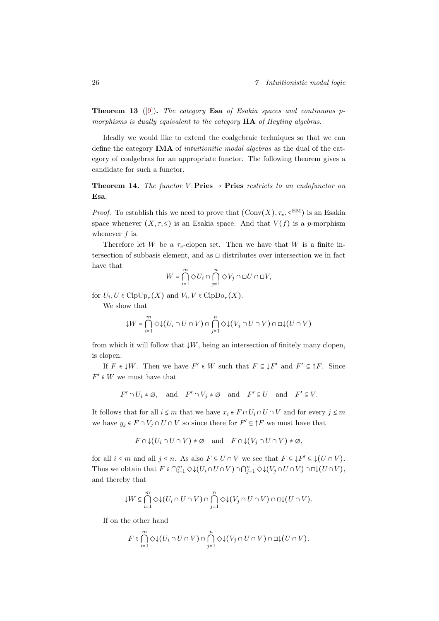**Theorem 13** ([\[9\]](#page-31-7)). The category **Esa** of Esakia spaces and continuous pmorphisms is dually equivalent to the category **HA** of Heyting algebras.

Ideally we would like to extend the coalgebraic techniques so that we can define the category **IMA** of *intuitionitic modal algebras* as the dual of the category of coalgebras for an appropriate functor. The following theorem gives a candidate for such a functor.

**Theorem 14.** The functor V: Pries  $\rightarrow$  Pries restricts to an endofunctor on Esa.

*Proof.* To establish this we need to prove that  $(\text{Conv}(X), \tau_v, \leq^{\text{EM}})$  is an Esakia space whenever  $(X, \tau, \leq)$  is an Esakia space. And that  $V(f)$  is a p-morphism whenever  $f$  is.

Therefore let W be a  $\tau_v$ -clopen set. Then we have that W is a finite intersection of subbasis element, and as  $\Box$  distributes over intersection we in fact have that

$$
W = \bigcap_{i=1}^m \Diamond U_i \cap \bigcap_{j=1}^n \Diamond V_j \cap \Box U \cap \Box V,
$$

for  $U_i, U \in \text{ClpUp}_{\tau}(X)$  and  $V_i, V \in \text{ClpDo}_{\tau}(X)$ .

We show that

$$
{\downarrow} W = \bigcap_{i=1}^m \diamondsuit {\downarrow} (U_i \cap U \cap V) \cap \bigcap_{j=1}^n \diamondsuit {\downarrow} (V_j \cap U \cap V) \cap \Box {\downarrow} (U \cap V)
$$

from which it will follow that  $\downarrow W$ , being an intersection of finitely many clopen, is clopen.

If  $F \in \downarrow W$ . Then we have  $F' \in W$  such that  $F \subseteq \downarrow F'$  and  $F' \subseteq \uparrow F$ . Since  $F' \in W$  we must have that

$$
F' \cap U_i \neq \emptyset
$$
, and  $F' \cap V_j \neq \emptyset$  and  $F' \subseteq U$  and  $F' \subseteq V$ .

It follows that for all  $i \leq m$  that we have  $x_i \in F \cap U_i \cap U \cap V$  and for every  $j \leq m$ we have  $y_j \in F \cap V_j \cap U \cap V$  so since there for  $F' \subseteq \uparrow F$  we must have that

$$
F \cap \mathop{\downarrow}(U_i \cap U \cap V) \neq \emptyset \quad \text{and} \quad F \cap \mathop{\downarrow}(V_j \cap U \cap V) \neq \emptyset,
$$

for all  $i \leq m$  and all  $j \leq n$ . As also  $F \subseteq U \cap V$  we see that  $F \subseteq \downarrow F' \subseteq \downarrow (U \cap V)$ . Thus we obtain that  $F \in \bigcap_{i=1}^m \Diamond \downarrow (U_i \cap U \cap V) \cap \bigcap_{j=1}^n \Diamond \downarrow (V_j \cap U \cap V) \cap \Box \downarrow (U \cap V)$ , and thereby that

$$
\downarrow W \subseteq \bigcap_{i=1}^{m} \Diamond \downarrow (U_i \cap U \cap V) \cap \bigcap_{j=1}^{n} \Diamond \downarrow (V_j \cap U \cap V) \cap \Box \downarrow (U \cap V).
$$

If on the other hand

$$
F\in \bigcap_{i=1}^m \Diamond \downarrow (U_i \cap U \cap V) \cap \bigcap_{j=1}^n \Diamond \downarrow (V_j \cap U \cap V) \cap \Box \downarrow (U \cap V).
$$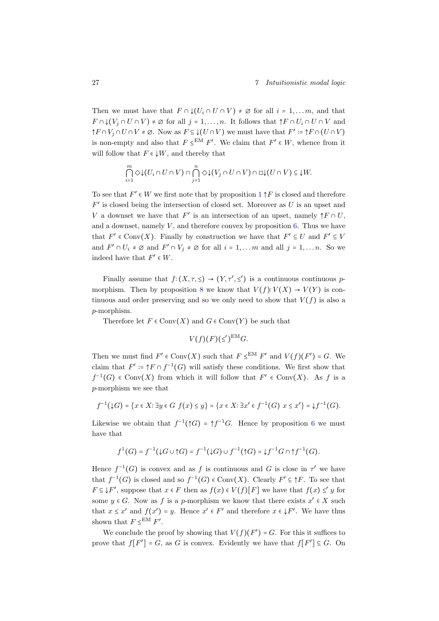Then we must have that  $F \cap \mathcal{L}(U_i \cap U \cap V) \neq \emptyset$  for all  $i = 1, \ldots m$ , and that  $F \cap \bigcup (V_i \cap U \cap V) \neq \emptyset$  for all  $j = 1, \ldots, n$ . It follows that  $\uparrow F \cap U_i \cap U \cap V$  and  $\uparrow F \cap V_j \cap U \cap V \neq \emptyset$ . Now as  $F \subseteq \downarrow (U \cap V)$  we must have that  $F' \coloneqq \uparrow F \cap (U \cap V)$ is non-empty and also that  $F \leq^{EM} F'$ . We claim that  $F' \in W$ , whence from it will follow that  $F \in \downarrow W$ , and thereby that

$$
\bigcap_{i=1}^m \Diamond \downarrow (U_i \cap U \cap V) \cap \bigcap_{j=1}^n \Diamond \downarrow (V_j \cap U \cap V) \cap \Box \downarrow (U \cap V) \subseteq \downarrow W.
$$

To see that  $F' \in W$  we first note that by proposition  $1 \uparrow F$  $1 \uparrow F$  is closed and therefore  $F'$  is closed being the intersection of closed set. Moreover as  $U$  is an upset and V a downset we have that  $F'$  is an intersection of an upset, namely  $\uparrow F \cap U$ , and a downset, namely  $V$ , and therefore convex by proposition [6.](#page-7-0) Thus we have that  $F' \in Conv(X)$ . Finally by construction we have that  $F' \subseteq U$  and  $F' \subseteq V$ and  $F' \cap U_i \neq \emptyset$  and  $F' \cap V_j \neq \emptyset$  for all  $i = 1, \ldots m$  and all  $j = 1, \ldots n$ . So we indeed have that  $F' \in W$ .

Finally assume that  $f:(X, \tau, \leq) \to (Y, \tau', \leq')$  is a continuous continuous p-morphism. Then by proposition [8](#page-10-0) we know that  $V(f): V(X) \to V(Y)$  is continuous and order preserving and so we only need to show that  $V(f)$  is also a p-morphism.

Therefore let  $F \in Conv(X)$  and  $G \in Conv(Y)$  be such that

$$
V(f)(F)(\leq')^{\text{EM}}G.
$$

Then we must find  $F' \in Conv(X)$  such that  $F \leq^{EM} F'$  and  $V(f)(F') = G$ . We claim that  $F' \coloneqq \uparrow F \cap f^{-1}(G)$  will satisfy these conditions. We first show that  $f^{-1}(G) \in Conv(X)$  from which it will follow that  $F' \in Conv(X)$ . As f is a p-morphism we see that

$$
f^{-1}(\downarrow G) = \{x \in X : \exists y \in G \ f(x) \le y\} = \{x \in X : \exists x' \in f^{-1}(G) \ x \le x'\} = \downarrow f^{-1}(G).
$$

Likewise we obtain that  $f^{-1}(\uparrow G) = \uparrow f^{-1}G$ . Hence by proposition [6](#page-7-0) we must have that

$$
f^1(G) = f^{-1}(\mathop{\downarrow} G \cup \mathop{\uparrow} G) = f^{-1}(\mathop{\downarrow} G) \cup f^{-1}(\mathop{\uparrow} G) = \mathop{\downarrow} f^{-1}G \cap \mathop{\uparrow} f^{-1}(G).
$$

Hence  $f^{-1}(G)$  is convex and as f is continuous and G is close in  $\tau'$  we have that  $f^{-1}(G)$  is closed and so  $f^{-1}(G) \in Conv(X)$ . Clearly  $F' \subseteq \uparrow F$ . To see that  $F \subseteq \downarrow F'$ , suppose that  $x \in F$  then as  $f(x) \in V(f)[F]$  we have that  $f(x) \leq y$  for some  $y \in G$ . Now as f is a p-morphism we know that there exists  $x' \in X$  such that  $x \leq x'$  and  $f(x') = y$ . Hence  $x' \in F'$  and therefore  $x \in \mathcal{F}'$ . We have thus shown that  $F \leq^{EM} F'$ .

We conclude the proof by showing that  $V(f)(F') = G$ . For this it suffices to prove that  $f[F'] = G$ , as G is convex. Evidently we have that  $f[F'] \subseteq G$ . On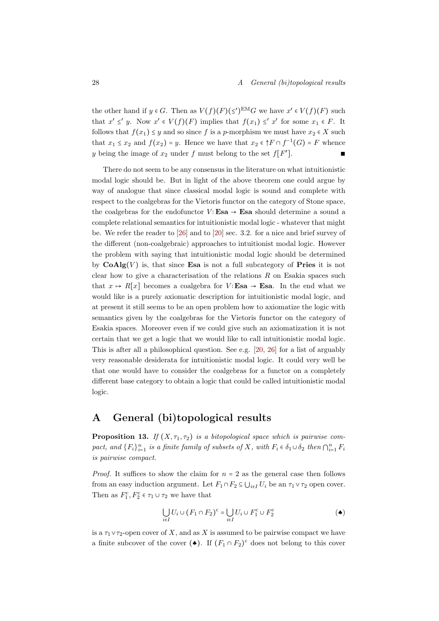the other hand if  $y \in G$ . Then as  $V(f)(F)(\le')^{EM}G$  we have  $x' \in V(f)(F)$  such that  $x' \leq' y$ . Now  $x' \in V(f)(F)$  implies that  $f(x_1) \leq' x'$  for some  $x_1 \in F$ . It follows that  $f(x_1) \leq y$  and so since f is a p-morphism we must have  $x_2 \in X$  such that  $x_1 \leq x_2$  and  $f(x_2) = y$ . Hence we have that  $x_2 \in \uparrow F \cap f^{-1}(G) = F$  whence y being the image of  $x_2$  under f must belong to the set  $f[F]$ ]. ∎

There do not seem to be any consensus in the literature on what intuitionistic modal logic should be. But in light of the above theorem one could argue by way of analogue that since classical modal logic is sound and complete with respect to the coalgebras for the Vietoris functor on the category of Stone space, the coalgebras for the endofunctor  $V$ : Esa  $\rightarrow$  Esa should determine a sound a complete relational semantics for intuitionistic modal logic - whatever that might be. We refer the reader to [\[26\]](#page-32-4) and to [\[20\]](#page-32-5) sec. 3.2. for a nice and brief survey of the different (non-coalgebraic) approaches to intuitionist modal logic. However the problem with saying that intuitionistic modal logic should be determined by  $\mathbf{CoAlg}(V)$  is, that since Esa is not a full subcategory of Pries it is not clear how to give a characterisation of the relations  $R$  on Esakia spaces such that  $x \mapsto R[x]$  becomes a coalgebra for  $V$ : Esa  $\rightarrow$  Esa. In the end what we would like is a purely axiomatic description for intuitionistic modal logic, and at present it still seems to be an open problem how to axiomatize the logic with semantics given by the coalgebras for the Vietoris functor on the category of Esakia spaces. Moreover even if we could give such an axiomatization it is not certain that we get a logic that we would like to call intuitionistic modal logic. This is after all a philosophical question. See e.g. [\[20,](#page-32-5) [26\]](#page-32-4) for a list of arguably very reasonable desiderata for intuitionistic modal logic. It could very well be that one would have to consider the coalgebras for a functor on a completely different base category to obtain a logic that could be called intuitionistic modal logic.

# <span id="page-29-0"></span>A General (bi)topological results

<span id="page-29-1"></span>**Proposition 13.** If  $(X, \tau_1, \tau_2)$  is a bitopological space which is pairwise compact, and  $\{F_i\}_{i=1}^n$  is a finite family of subsets of X, with  $F_i \in \delta_1 \cup \delta_2$  then  $\bigcap_{i=1}^n F_i$ is pairwise compact.

*Proof.* It suffices to show the claim for  $n = 2$  as the general case then follows from an easy induction argument. Let  $F_1 \cap F_2 \subseteq \bigcup_{i \in I} U_i$  be an  $\tau_1 \vee \tau_2$  open cover. Then as  $F_1^c, F_2^c \in \tau_1 \cup \tau_2$  we have that

$$
\bigcup_{i \in I} U_i \cup (F_1 \cap F_2)^c = \bigcup_{i \in I} U_i \cup F_1^c \cup F_2^c \tag{\blacktriangle}
$$

is a  $\tau_1 \vee \tau_2$ -open cover of X, and as X is assumed to be pairwise compact we have a finite subcover of the cover  $($ . If  $(F_1 \cap F_2)^c$  does not belong to this cover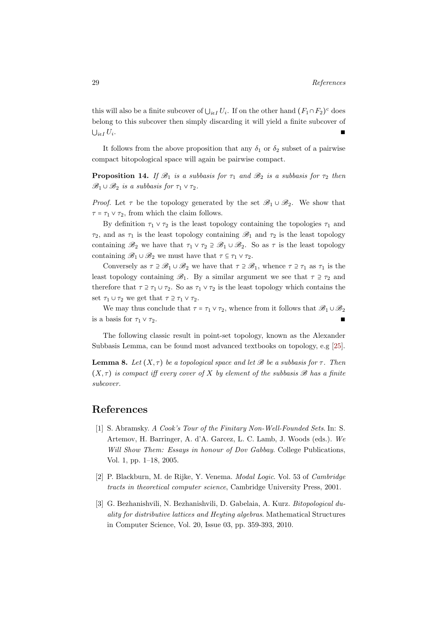this will also be a finite subcover of  $\bigcup_{i\in I} U_i$ . If on the other hand  $(F_1 \cap F_2)^c$  does belong to this subcover then simply discarding it will yield a finite subcover of  $\bigcup_{i\in I} U_i$ . . ∎ ∎ newspaper of the second property of the second property of the second property of the second property of

It follows from the above proposition that any  $\delta_1$  or  $\delta_2$  subset of a pairwise compact bitopological space will again be pairwise compact.

<span id="page-30-4"></span>**Proposition 14.** If  $\mathcal{B}_1$  is a subbasis for  $\tau_1$  and  $\mathcal{B}_2$  is a subbasis for  $\tau_2$  then  $\mathscr{B}_1 \cup \mathscr{B}_2$  is a subbasis for  $\tau_1 \vee \tau_2$ .

*Proof.* Let  $\tau$  be the topology generated by the set  $\mathscr{B}_1 \cup \mathscr{B}_2$ . We show that  $\tau = \tau_1 \vee \tau_2$ , from which the claim follows.

By definition  $\tau_1 \vee \tau_2$  is the least topology containing the topologies  $\tau_1$  and  $\tau_2$ , and as  $\tau_1$  is the least topology containing  $\mathscr{B}_1$  and  $\tau_2$  is the least topology containing  $\mathscr{B}_2$  we have that  $\tau_1 \vee \tau_2 \supseteq \mathscr{B}_1 \cup \mathscr{B}_2$ . So as  $\tau$  is the least topology containing  $\mathscr{B}_1 \cup \mathscr{B}_2$  we must have that  $\tau \subseteq \tau_1 \vee \tau_2$ .

Conversely as  $\tau \supseteq \mathscr{B}_1 \cup \mathscr{B}_2$  we have that  $\tau \supseteq \mathscr{B}_1$ , whence  $\tau \supseteq \tau_1$  as  $\tau_1$  is the least topology containing  $\mathscr{B}_1$ . By a similar argument we see that  $\tau \supseteq \tau_2$  and therefore that  $\tau \supseteq \tau_1 \cup \tau_2$ . So as  $\tau_1 \vee \tau_2$  is the least topology which contains the set  $\tau_1 \cup \tau_2$  we get that  $\tau \supseteq \tau_1 \vee \tau_2$ .

We may thus conclude that  $\tau = \tau_1 \vee \tau_2$ , whence from it follows that  $\mathscr{B}_1 \cup \mathscr{B}_2$ is a basis for  $\tau_1 \vee \tau_2$ .

The following classic result in point-set topology, known as the Alexander Subbasis Lemma, can be found most advanced textbooks on topology, e.g [\[25\]](#page-32-6).

<span id="page-30-3"></span>**Lemma 8.** Let  $(X, \tau)$  be a topological space and let B be a subbasis for  $\tau$ . Then  $(X, \tau)$  is compact iff every cover of X by element of the subbasis  $\mathscr B$  has a finite subcover.

## References

- <span id="page-30-1"></span>[1] S. Abramsky. A Cook's Tour of the Finitary Non-Well-Founded Sets. In: S. Artemov, H. Barringer, A. d'A. Garcez, L. C. Lamb, J. Woods (eds.). We Will Show Them: Essays in honour of Dov Gabbay. College Publications, Vol. 1, pp. 1–18, 2005.
- <span id="page-30-2"></span>[2] P. Blackburn, M. de Rijke, Y. Venema. Modal Logic. Vol. 53 of Cambridge tracts in theoretical computer science, Cambridge University Press, 2001.
- <span id="page-30-0"></span>[3] G. Bezhanishvili, N. Bezhanishvili, D. Gabelaia, A. Kurz. Bitopological duality for distributive lattices and Heyting algebras. Mathematical Structures in Computer Science, Vol. 20, Issue 03, pp. 359-393, 2010.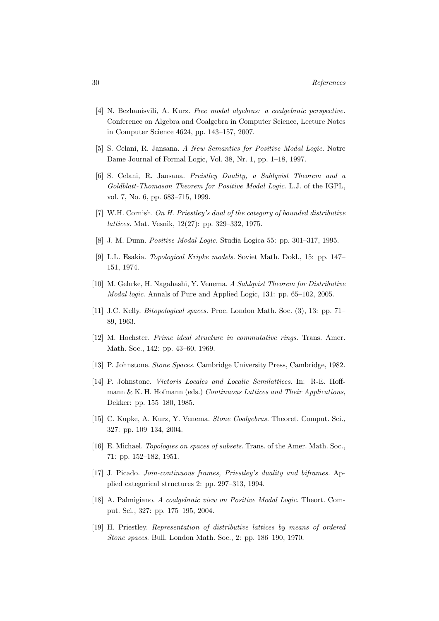- <span id="page-31-0"></span>[4] N. Bezhanisvili, A. Kurz. Free modal algebras: a coalgebraic perspective. Conference on Algebra and Coalgebra in Computer Science, Lecture Notes in Computer Science 4624, pp. 143–157, 2007.
- <span id="page-31-13"></span>[5] S. Celani, R. Jansana. A New Semantics for Positive Modal Logic. Notre Dame Journal of Formal Logic, Vol. 38, Nr. 1, pp. 1–18, 1997.
- <span id="page-31-14"></span>[6] S. Celani, R. Jansana. Preistley Duality, a Sahlqvist Theorem and a Goldblatt-Thomason Theorem for Positive Modal Logic. L.J. of the IGPL, vol. 7, No. 6, pp. 683–715, 1999.
- <span id="page-31-4"></span>[7] W.H. Cornish. On H. Priestley's dual of the category of bounded distributive lattices. Mat. Vesnik, 12(27): pp. 329–332, 1975.
- <span id="page-31-11"></span>[8] J. M. Dunn. Positive Modal Logic. Studia Logica 55: pp. 301–317, 1995.
- <span id="page-31-7"></span>[9] L.L. Esakia. Topological Kripke models. Soviet Math. Dokl., 15: pp. 147– 151, 1974.
- <span id="page-31-12"></span>[10] M. Gehrke, H. Nagahashi, Y. Venema. A Sahlqvist Theorem for Distributive Modal logic. Annals of Pure and Applied Logic, 131: pp. 65–102, 2005.
- <span id="page-31-9"></span>[11] J.C. Kelly. Bitopological spaces. Proc. London Math. Soc. (3), 13: pp. 71– 89, 1963.
- [12] M. Hochster. Prime ideal structure in commutative rings. Trans. Amer. Math. Soc., 142: pp. 43–60, 1969.
- <span id="page-31-2"></span>[13] P. Johnstone. Stone Spaces. Cambridge University Press, Cambridge, 1982.
- <span id="page-31-8"></span>[14] P. Johnstone. Vietoris Locales and Localic Semilattices. In: R-E. Hoffmann & K. H. Hofmann (eds.) Continuous Lattices and Their Applications, Dekker: pp. 155–180, 1985.
- <span id="page-31-6"></span>[15] C. Kupke, A. Kurz, Y. Venema. Stone Coalgebras. Theoret. Comput. Sci., 327: pp. 109–134, 2004.
- <span id="page-31-10"></span>[16] E. Michael. Topologies on spaces of subsets. Trans. of the Amer. Math. Soc., 71: pp. 152–182, 1951.
- <span id="page-31-5"></span>[17] J. Picado. *Join-continuous frames, Priestley's duality and biframes*. Applied categorical structures 2: pp. 297–313, 1994.
- <span id="page-31-1"></span>[18] A. Palmigiano. A coalgebraic view on Positive Modal Logic. Theort. Comput. Sci., 327: pp. 175–195, 2004.
- <span id="page-31-3"></span>[19] H. Priestley. Representation of distributive lattices by means of ordered Stone spaces. Bull. London Math. Soc., 2: pp. 186–190, 1970.